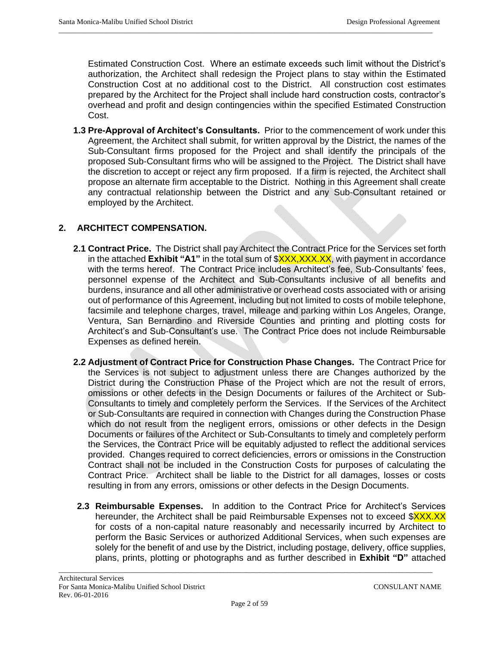Estimated Construction Cost. Where an estimate exceeds such limit without the District's authorization, the Architect shall redesign the Project plans to stay within the Estimated Construction Cost at no additional cost to the District. All construction cost estimates prepared by the Architect for the Project shall include hard construction costs, contractor's overhead and profit and design contingencies within the specified Estimated Construction Cost.

 $\_$  ,  $\_$  ,  $\_$  ,  $\_$  ,  $\_$  ,  $\_$  ,  $\_$  ,  $\_$  ,  $\_$  ,  $\_$  ,  $\_$  ,  $\_$  ,  $\_$  ,  $\_$  ,  $\_$  ,  $\_$  ,  $\_$  ,  $\_$  ,  $\_$  ,  $\_$  ,  $\_$  ,  $\_$  ,  $\_$  ,  $\_$  ,  $\_$  ,  $\_$  ,  $\_$  ,  $\_$  ,  $\_$  ,  $\_$  ,  $\_$  ,  $\_$  ,  $\_$  ,  $\_$  ,  $\_$  ,  $\_$  ,  $\_$  ,

**1.3 Pre-Approval of Architect's Consultants.** Prior to the commencement of work under this Agreement, the Architect shall submit, for written approval by the District, the names of the Sub-Consultant firms proposed for the Project and shall identify the principals of the proposed Sub-Consultant firms who will be assigned to the Project. The District shall have the discretion to accept or reject any firm proposed. If a firm is rejected, the Architect shall propose an alternate firm acceptable to the District. Nothing in this Agreement shall create any contractual relationship between the District and any Sub-Consultant retained or employed by the Architect.

# **2. ARCHITECT COMPENSATION.**

- **2.1 Contract Price.** The District shall pay Architect the Contract Price for the Services set forth in the attached **Exhibit "A1"** in the total sum of \$**XXX,XXX.XX**, with payment in accordance with the terms hereof. The Contract Price includes Architect's fee, Sub-Consultants' fees, personnel expense of the Architect and Sub-Consultants inclusive of all benefits and burdens, insurance and all other administrative or overhead costs associated with or arising out of performance of this Agreement, including but not limited to costs of mobile telephone, facsimile and telephone charges, travel, mileage and parking within Los Angeles, Orange, Ventura, San Bernardino and Riverside Counties and printing and plotting costs for Architect's and Sub-Consultant's use. The Contract Price does not include Reimbursable Expenses as defined herein.
- **2.2 Adjustment of Contract Price for Construction Phase Changes.** The Contract Price for the Services is not subject to adjustment unless there are Changes authorized by the District during the Construction Phase of the Project which are not the result of errors, omissions or other defects in the Design Documents or failures of the Architect or Sub-Consultants to timely and completely perform the Services. If the Services of the Architect or Sub-Consultants are required in connection with Changes during the Construction Phase which do not result from the negligent errors, omissions or other defects in the Design Documents or failures of the Architect or Sub-Consultants to timely and completely perform the Services, the Contract Price will be equitably adjusted to reflect the additional services provided. Changes required to correct deficiencies, errors or omissions in the Construction Contract shall not be included in the Construction Costs for purposes of calculating the Contract Price. Architect shall be liable to the District for all damages, losses or costs resulting in from any errors, omissions or other defects in the Design Documents.
- **2.3 Reimbursable Expenses.** In addition to the Contract Price for Architect's Services hereunder, the Architect shall be paid Reimbursable Expenses not to exceed \$XXX.XX for costs of a non-capital nature reasonably and necessarily incurred by Architect to perform the Basic Services or authorized Additional Services, when such expenses are solely for the benefit of and use by the District, including postage, delivery, office supplies, plans, prints, plotting or photographs and as further described in **Exhibit "D"** attached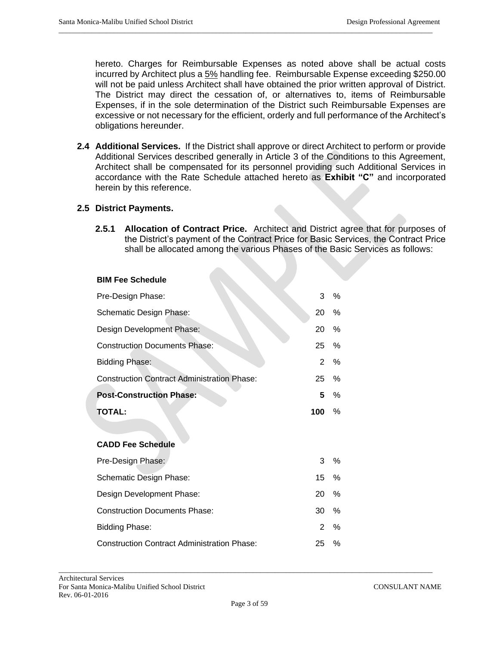hereto. Charges for Reimbursable Expenses as noted above shall be actual costs incurred by Architect plus a 5% handling fee. Reimbursable Expense exceeding \$250.00 will not be paid unless Architect shall have obtained the prior written approval of District. The District may direct the cessation of, or alternatives to, items of Reimbursable Expenses, if in the sole determination of the District such Reimbursable Expenses are excessive or not necessary for the efficient, orderly and full performance of the Architect's obligations hereunder.

 $\_$  ,  $\_$  ,  $\_$  ,  $\_$  ,  $\_$  ,  $\_$  ,  $\_$  ,  $\_$  ,  $\_$  ,  $\_$  ,  $\_$  ,  $\_$  ,  $\_$  ,  $\_$  ,  $\_$  ,  $\_$  ,  $\_$  ,  $\_$  ,  $\_$  ,  $\_$  ,  $\_$  ,  $\_$  ,  $\_$  ,  $\_$  ,  $\_$  ,  $\_$  ,  $\_$  ,  $\_$  ,  $\_$  ,  $\_$  ,  $\_$  ,  $\_$  ,  $\_$  ,  $\_$  ,  $\_$  ,  $\_$  ,  $\_$  ,

**2.4 Additional Services.** If the District shall approve or direct Architect to perform or provide Additional Services described generally in Article 3 of the Conditions to this Agreement, Architect shall be compensated for its personnel providing such Additional Services in accordance with the Rate Schedule attached hereto as **Exhibit "C"** and incorporated herein by this reference.

## **2.5 District Payments.**

**2.5.1 Allocation of Contract Price.** Architect and District agree that for purposes of the District's payment of the Contract Price for Basic Services, the Contract Price shall be allocated among the various Phases of the Basic Services as follows:

#### **BIM Fee Schedule**

| Pre-Design Phase:                                        | 3   | %    |
|----------------------------------------------------------|-----|------|
| Schematic Design Phase:                                  | 20  | %    |
| Design Development Phase:                                | 20  | %    |
| <b>Construction Documents Phase:</b>                     | 25  | $\%$ |
| <b>Bidding Phase:</b>                                    | 2   | %    |
| <b>Construction Contract Administration Phase:</b>       | 25  | $\%$ |
| <b>Post-Construction Phase:</b>                          | 5   | $\%$ |
| <b>TOTAL:</b>                                            | 100 | $\%$ |
|                                                          |     |      |
| <b>CADD Fee Schedule</b>                                 |     |      |
| Pre-Design Phase:                                        | 3   | $\%$ |
| 15<br>Schematic Design Phase:                            |     | $\%$ |
| Design Development Phase:<br>20                          |     | $\%$ |
| <b>Construction Documents Phase:</b>                     | 30  | $\%$ |
| <b>Bidding Phase:</b>                                    | 2   | $\%$ |
| <b>Construction Contract Administration Phase:</b><br>25 |     |      |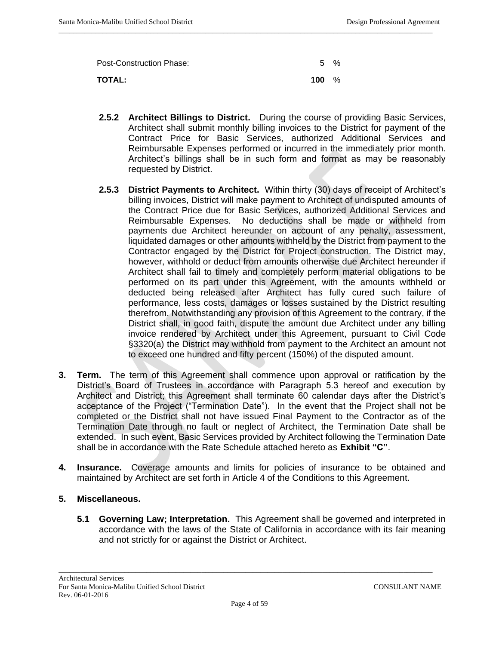Post-Construction Phase: 5 % **TOTAL: 100** %

 $\_$  ,  $\_$  ,  $\_$  ,  $\_$  ,  $\_$  ,  $\_$  ,  $\_$  ,  $\_$  ,  $\_$  ,  $\_$  ,  $\_$  ,  $\_$  ,  $\_$  ,  $\_$  ,  $\_$  ,  $\_$  ,  $\_$  ,  $\_$  ,  $\_$  ,  $\_$  ,  $\_$  ,  $\_$  ,  $\_$  ,  $\_$  ,  $\_$  ,  $\_$  ,  $\_$  ,  $\_$  ,  $\_$  ,  $\_$  ,  $\_$  ,  $\_$  ,  $\_$  ,  $\_$  ,  $\_$  ,  $\_$  ,  $\_$  ,

- **2.5.2 Architect Billings to District.** During the course of providing Basic Services, Architect shall submit monthly billing invoices to the District for payment of the Contract Price for Basic Services, authorized Additional Services and Reimbursable Expenses performed or incurred in the immediately prior month. Architect's billings shall be in such form and format as may be reasonably requested by District.
- **2.5.3 District Payments to Architect.** Within thirty (30) days of receipt of Architect's billing invoices, District will make payment to Architect of undisputed amounts of the Contract Price due for Basic Services, authorized Additional Services and Reimbursable Expenses. No deductions shall be made or withheld from payments due Architect hereunder on account of any penalty, assessment, liquidated damages or other amounts withheld by the District from payment to the Contractor engaged by the District for Project construction. The District may, however, withhold or deduct from amounts otherwise due Architect hereunder if Architect shall fail to timely and completely perform material obligations to be performed on its part under this Agreement, with the amounts withheld or deducted being released after Architect has fully cured such failure of performance, less costs, damages or losses sustained by the District resulting therefrom. Notwithstanding any provision of this Agreement to the contrary, if the District shall, in good faith, dispute the amount due Architect under any billing invoice rendered by Architect under this Agreement, pursuant to Civil Code §3320(a) the District may withhold from payment to the Architect an amount not to exceed one hundred and fifty percent (150%) of the disputed amount.
- **3. Term.** The term of this Agreement shall commence upon approval or ratification by the District's Board of Trustees in accordance with Paragraph 5.3 hereof and execution by Architect and District; this Agreement shall terminate 60 calendar days after the District's acceptance of the Project ("Termination Date"). In the event that the Project shall not be completed or the District shall not have issued Final Payment to the Contractor as of the Termination Date through no fault or neglect of Architect, the Termination Date shall be extended. In such event, Basic Services provided by Architect following the Termination Date shall be in accordance with the Rate Schedule attached hereto as **Exhibit "C"**.
- **4. Insurance.** Coverage amounts and limits for policies of insurance to be obtained and maintained by Architect are set forth in Article 4 of the Conditions to this Agreement.

## **5. Miscellaneous.**

**5.1 Governing Law; Interpretation.** This Agreement shall be governed and interpreted in accordance with the laws of the State of California in accordance with its fair meaning and not strictly for or against the District or Architect.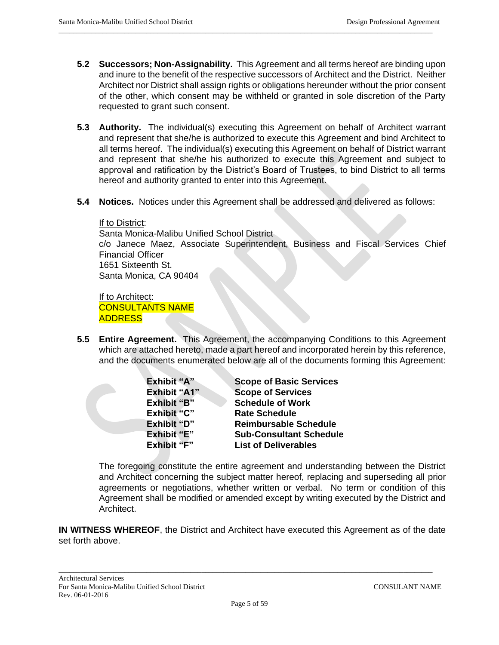**5.2 Successors; Non-Assignability.** This Agreement and all terms hereof are binding upon and inure to the benefit of the respective successors of Architect and the District. Neither Architect nor District shall assign rights or obligations hereunder without the prior consent of the other, which consent may be withheld or granted in sole discretion of the Party requested to grant such consent.

 $\_$  ,  $\_$  ,  $\_$  ,  $\_$  ,  $\_$  ,  $\_$  ,  $\_$  ,  $\_$  ,  $\_$  ,  $\_$  ,  $\_$  ,  $\_$  ,  $\_$  ,  $\_$  ,  $\_$  ,  $\_$  ,  $\_$  ,  $\_$  ,  $\_$  ,  $\_$  ,  $\_$  ,  $\_$  ,  $\_$  ,  $\_$  ,  $\_$  ,  $\_$  ,  $\_$  ,  $\_$  ,  $\_$  ,  $\_$  ,  $\_$  ,  $\_$  ,  $\_$  ,  $\_$  ,  $\_$  ,  $\_$  ,  $\_$  ,

- **5.3 Authority.** The individual(s) executing this Agreement on behalf of Architect warrant and represent that she/he is authorized to execute this Agreement and bind Architect to all terms hereof. The individual(s) executing this Agreement on behalf of District warrant and represent that she/he his authorized to execute this Agreement and subject to approval and ratification by the District's Board of Trustees, to bind District to all terms hereof and authority granted to enter into this Agreement.
- **5.4 Notices.** Notices under this Agreement shall be addressed and delivered as follows:

#### If to District:

Santa Monica-Malibu Unified School District c/o Janece Maez, Associate Superintendent, Business and Fiscal Services Chief Financial Officer 1651 Sixteenth St. Santa Monica, CA 90404

If to Architect: CONSULTANTS NAME ADDRESS

**5.5 Entire Agreement.** This Agreement, the accompanying Conditions to this Agreement which are attached hereto, made a part hereof and incorporated herein by this reference, and the documents enumerated below are all of the documents forming this Agreement:

| Exhibit "A"         | <b>Scope of Basic Services</b> |
|---------------------|--------------------------------|
| <b>Exhibit "A1"</b> | <b>Scope of Services</b>       |
| <b>Exhibit "B"</b>  | <b>Schedule of Work</b>        |
| <b>Exhibit "C"</b>  | <b>Rate Schedule</b>           |
| <b>Exhibit "D"</b>  | <b>Reimbursable Schedule</b>   |
| Exhibit "E"         | <b>Sub-Consultant Schedule</b> |
| Exhibit "F"         | <b>List of Deliverables</b>    |

The foregoing constitute the entire agreement and understanding between the District and Architect concerning the subject matter hereof, replacing and superseding all prior agreements or negotiations, whether written or verbal. No term or condition of this Agreement shall be modified or amended except by writing executed by the District and Architect.

**IN WITNESS WHEREOF**, the District and Architect have executed this Agreement as of the date set forth above.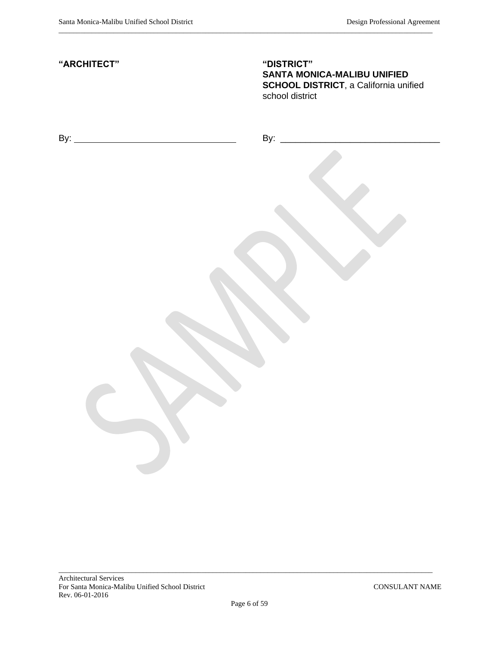| "ARCHITECT"            | "DISTRICT"<br>SANTA MONICA-MALIBU UNIFIED<br><b>SCHOOL DISTRICT, a California unified</b><br>school district |
|------------------------|--------------------------------------------------------------------------------------------------------------|
|                        |                                                                                                              |
|                        |                                                                                                              |
|                        |                                                                                                              |
|                        |                                                                                                              |
| $\mathbf{J}^{\bullet}$ |                                                                                                              |
|                        |                                                                                                              |

 $\_$  ,  $\_$  ,  $\_$  ,  $\_$  ,  $\_$  ,  $\_$  ,  $\_$  ,  $\_$  ,  $\_$  ,  $\_$  ,  $\_$  ,  $\_$  ,  $\_$  ,  $\_$  ,  $\_$  ,  $\_$  ,  $\_$  ,  $\_$  ,  $\_$  ,  $\_$  ,  $\_$  ,  $\_$  ,  $\_$  ,  $\_$  ,  $\_$  ,  $\_$  ,  $\_$  ,  $\_$  ,  $\_$  ,  $\_$  ,  $\_$  ,  $\_$  ,  $\_$  ,  $\_$  ,  $\_$  ,  $\_$  ,  $\_$  ,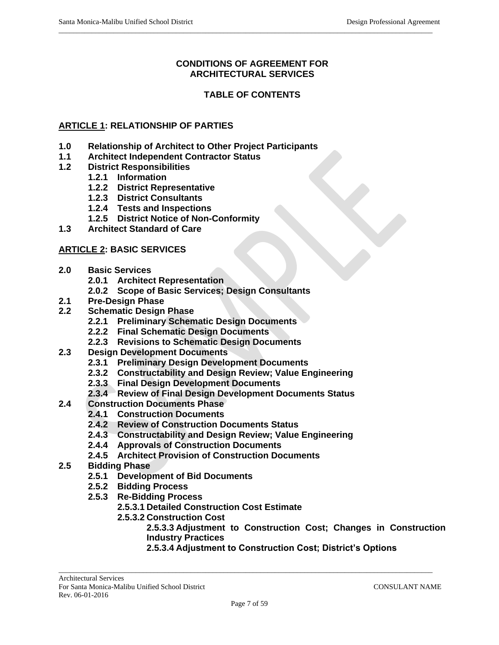## **CONDITIONS OF AGREEMENT FOR ARCHITECTURAL SERVICES**

 $\_$  ,  $\_$  ,  $\_$  ,  $\_$  ,  $\_$  ,  $\_$  ,  $\_$  ,  $\_$  ,  $\_$  ,  $\_$  ,  $\_$  ,  $\_$  ,  $\_$  ,  $\_$  ,  $\_$  ,  $\_$  ,  $\_$  ,  $\_$  ,  $\_$  ,  $\_$  ,  $\_$  ,  $\_$  ,  $\_$  ,  $\_$  ,  $\_$  ,  $\_$  ,  $\_$  ,  $\_$  ,  $\_$  ,  $\_$  ,  $\_$  ,  $\_$  ,  $\_$  ,  $\_$  ,  $\_$  ,  $\_$  ,  $\_$  ,

## **TABLE OF CONTENTS**

## **ARTICLE 1: RELATIONSHIP OF PARTIES**

- **1.0 Relationship of Architect to Other Project Participants**
- **1.1 Architect Independent Contractor Status**
- **1.2 District Responsibilities**
	- **1.2.1 Information**
	- **1.2.2 District Representative**
	- **1.2.3 District Consultants**
	- **1.2.4 Tests and Inspections**
	- **1.2.5 District Notice of Non-Conformity**
- **1.3 Architect Standard of Care**

## **ARTICLE 2: BASIC SERVICES**

- **2.0 Basic Services**
	- **2.0.1 Architect Representation**
	- **2.0.2 Scope of Basic Services; Design Consultants**
- **2.1 Pre-Design Phase**
- **2.2 Schematic Design Phase**
	- **2.2.1 Preliminary Schematic Design Documents**
	- **2.2.2 Final Schematic Design Documents**
	- **2.2.3 Revisions to Schematic Design Documents**
- **2.3 Design Development Documents**
	- **2.3.1 Preliminary Design Development Documents**
	- **2.3.2 Constructability and Design Review; Value Engineering**
	- **2.3.3 Final Design Development Documents**
	- **2.3.4 Review of Final Design Development Documents Status**
- **2.4 Construction Documents Phase**
	- **2.4.1 Construction Documents**
	- **2.4.2 Review of Construction Documents Status**
	- **2.4.3 Constructability and Design Review; Value Engineering**
	- **2.4.4 Approvals of Construction Documents**
	- **2.4.5 Architect Provision of Construction Documents**
- **2.5 Bidding Phase**
	- **2.5.1 Development of Bid Documents**
	- **2.5.2 Bidding Process**
	- **2.5.3 Re-Bidding Process**
		- **2.5.3.1 Detailed Construction Cost Estimate**
		- **2.5.3.2 Construction Cost**

**2.5.3.3 Adjustment to Construction Cost; Changes in Construction Industry Practices**

**2.5.3.4 Adjustment to Construction Cost; District's Options**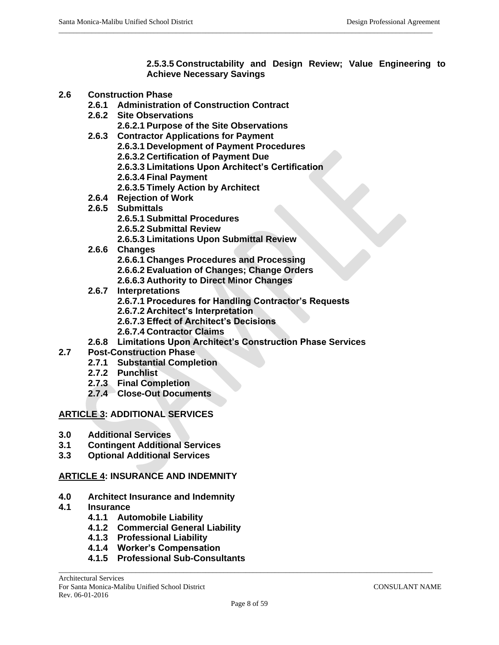**2.5.3.5 Constructability and Design Review; Value Engineering to Achieve Necessary Savings**

- **2.6 Construction Phase**
	- **2.6.1 Administration of Construction Contract**
	- **2.6.2 Site Observations**
		- **2.6.2.1 Purpose of the Site Observations**
	- **2.6.3 Contractor Applications for Payment**
		- **2.6.3.1 Development of Payment Procedures**
		- **2.6.3.2 Certification of Payment Due**
		- **2.6.3.3 Limitations Upon Architect's Certification**

 $\_$  ,  $\_$  ,  $\_$  ,  $\_$  ,  $\_$  ,  $\_$  ,  $\_$  ,  $\_$  ,  $\_$  ,  $\_$  ,  $\_$  ,  $\_$  ,  $\_$  ,  $\_$  ,  $\_$  ,  $\_$  ,  $\_$  ,  $\_$  ,  $\_$  ,  $\_$  ,  $\_$  ,  $\_$  ,  $\_$  ,  $\_$  ,  $\_$  ,  $\_$  ,  $\_$  ,  $\_$  ,  $\_$  ,  $\_$  ,  $\_$  ,  $\_$  ,  $\_$  ,  $\_$  ,  $\_$  ,  $\_$  ,  $\_$  ,

- **2.6.3.4 Final Payment**
- **2.6.3.5 Timely Action by Architect**
- **2.6.4 Rejection of Work**
- **2.6.5 Submittals**
	- **2.6.5.1 Submittal Procedures**
	- **2.6.5.2 Submittal Review**
	- **2.6.5.3 Limitations Upon Submittal Review**
- **2.6.6 Changes**
	- **2.6.6.1 Changes Procedures and Processing**
	- **2.6.6.2 Evaluation of Changes; Change Orders**
	- **2.6.6.3 Authority to Direct Minor Changes**
- **2.6.7 Interpretations**
	- **2.6.7.1 Procedures for Handling Contractor's Requests**
	- **2.6.7.2 Architect's Interpretation**
	- **2.6.7.3 Effect of Architect's Decisions**
	- **2.6.7.4 Contractor Claims**
- **2.6.8 Limitations Upon Architect's Construction Phase Services**
- **2.7 Post-Construction Phase**
	- **2.7.1 Substantial Completion**
	- **2.7.2 Punchlist**
	- **2.7.3 Final Completion**
	- **2.7.4 Close-Out Documents**

## **ARTICLE 3: ADDITIONAL SERVICES**

- **3.0 Additional Services**
- **3.1 Contingent Additional Services**
- **3.3 Optional Additional Services**

## **ARTICLE 4: INSURANCE AND INDEMNITY**

- **4.0 Architect Insurance and Indemnity**
- **4.1 Insurance**
	- **4.1.1 Automobile Liability**
	- **4.1.2 Commercial General Liability**
	- **4.1.3 Professional Liability**
	- **4.1.4 Worker's Compensation**
	- **4.1.5 Professional Sub-Consultants**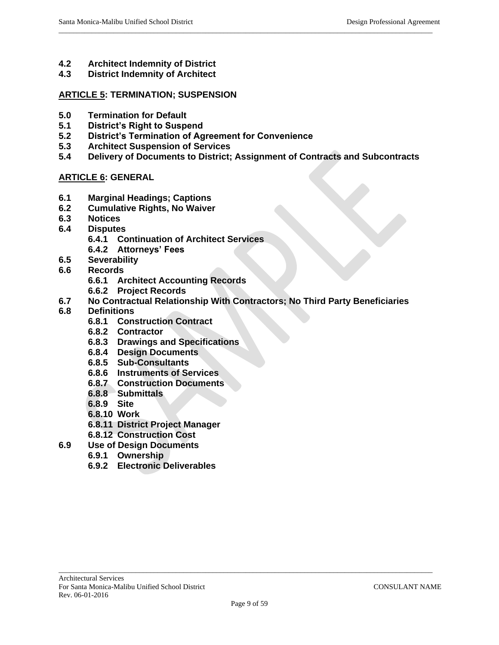- **4.2 Architect Indemnity of District**
- **4.3 District Indemnity of Architect**

### **ARTICLE 5: TERMINATION; SUSPENSION**

- **5.0 Termination for Default**
- **5.1 District's Right to Suspend**
- **5.2 District's Termination of Agreement for Convenience**
- **5.3 Architect Suspension of Services**
- **5.4 Delivery of Documents to District; Assignment of Contracts and Subcontracts**

 $\_$  ,  $\_$  ,  $\_$  ,  $\_$  ,  $\_$  ,  $\_$  ,  $\_$  ,  $\_$  ,  $\_$  ,  $\_$  ,  $\_$  ,  $\_$  ,  $\_$  ,  $\_$  ,  $\_$  ,  $\_$  ,  $\_$  ,  $\_$  ,  $\_$  ,  $\_$  ,  $\_$  ,  $\_$  ,  $\_$  ,  $\_$  ,  $\_$  ,  $\_$  ,  $\_$  ,  $\_$  ,  $\_$  ,  $\_$  ,  $\_$  ,  $\_$  ,  $\_$  ,  $\_$  ,  $\_$  ,  $\_$  ,  $\_$  ,

## **ARTICLE 6: GENERAL**

- **6.1 Marginal Headings; Captions**
- **6.2 Cumulative Rights, No Waiver**
- **6.3 Notices**
- **6.4 Disputes**
	- **6.4.1 Continuation of Architect Services**
	- **6.4.2 Attorneys' Fees**
- **6.5 Severability**
- **6.6 Records**
	- **6.6.1 Architect Accounting Records**
	- **6.6.2 Project Records**
- **6.7 No Contractual Relationship With Contractors; No Third Party Beneficiaries**
- **6.8 Definitions**
	- **6.8.1 Construction Contract**
	- **6.8.2 Contractor**
	- **6.8.3 Drawings and Specifications**
	- **6.8.4 Design Documents**
	- **6.8.5 Sub-Consultants**
	- **6.8.6 Instruments of Services**
	- **6.8.7 Construction Documents**
	- **6.8.8 Submittals**
	- **6.8.9 Site**
	- **6.8.10 Work**
	- **6.8.11 District Project Manager**
	- **6.8.12 Construction Cost**
- **6.9 Use of Design Documents**
	- **6.9.1 Ownership**
	- **6.9.2 Electronic Deliverables**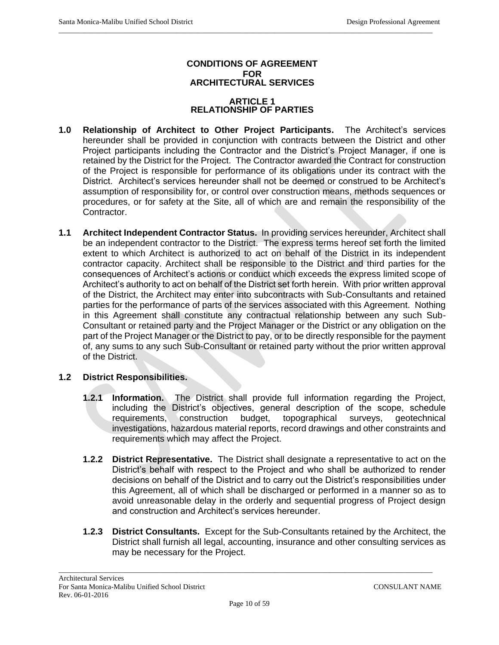### **CONDITIONS OF AGREEMENT FOR ARCHITECTURAL SERVICES**

 $\_$  ,  $\_$  ,  $\_$  ,  $\_$  ,  $\_$  ,  $\_$  ,  $\_$  ,  $\_$  ,  $\_$  ,  $\_$  ,  $\_$  ,  $\_$  ,  $\_$  ,  $\_$  ,  $\_$  ,  $\_$  ,  $\_$  ,  $\_$  ,  $\_$  ,  $\_$  ,  $\_$  ,  $\_$  ,  $\_$  ,  $\_$  ,  $\_$  ,  $\_$  ,  $\_$  ,  $\_$  ,  $\_$  ,  $\_$  ,  $\_$  ,  $\_$  ,  $\_$  ,  $\_$  ,  $\_$  ,  $\_$  ,  $\_$  ,

#### **ARTICLE 1 RELATIONSHIP OF PARTIES**

- **1.0 Relationship of Architect to Other Project Participants.** The Architect's services hereunder shall be provided in conjunction with contracts between the District and other Project participants including the Contractor and the District's Project Manager, if one is retained by the District for the Project. The Contractor awarded the Contract for construction of the Project is responsible for performance of its obligations under its contract with the District. Architect's services hereunder shall not be deemed or construed to be Architect's assumption of responsibility for, or control over construction means, methods sequences or procedures, or for safety at the Site, all of which are and remain the responsibility of the Contractor.
- **1.1 Architect Independent Contractor Status.** In providing services hereunder, Architect shall be an independent contractor to the District. The express terms hereof set forth the limited extent to which Architect is authorized to act on behalf of the District in its independent contractor capacity. Architect shall be responsible to the District and third parties for the consequences of Architect's actions or conduct which exceeds the express limited scope of Architect's authority to act on behalf of the District set forth herein. With prior written approval of the District, the Architect may enter into subcontracts with Sub-Consultants and retained parties for the performance of parts of the services associated with this Agreement. Nothing in this Agreement shall constitute any contractual relationship between any such Sub-Consultant or retained party and the Project Manager or the District or any obligation on the part of the Project Manager or the District to pay, or to be directly responsible for the payment of, any sums to any such Sub-Consultant or retained party without the prior written approval of the District.

# **1.2 District Responsibilities.**

- **1.2.1 Information.** The District shall provide full information regarding the Project, including the District's objectives, general description of the scope, schedule requirements, construction budget, topographical surveys, geotechnical investigations, hazardous material reports, record drawings and other constraints and requirements which may affect the Project.
- **1.2.2 District Representative.** The District shall designate a representative to act on the District's behalf with respect to the Project and who shall be authorized to render decisions on behalf of the District and to carry out the District's responsibilities under this Agreement, all of which shall be discharged or performed in a manner so as to avoid unreasonable delay in the orderly and sequential progress of Project design and construction and Architect's services hereunder.
- **1.2.3 District Consultants.** Except for the Sub-Consultants retained by the Architect, the District shall furnish all legal, accounting, insurance and other consulting services as may be necessary for the Project.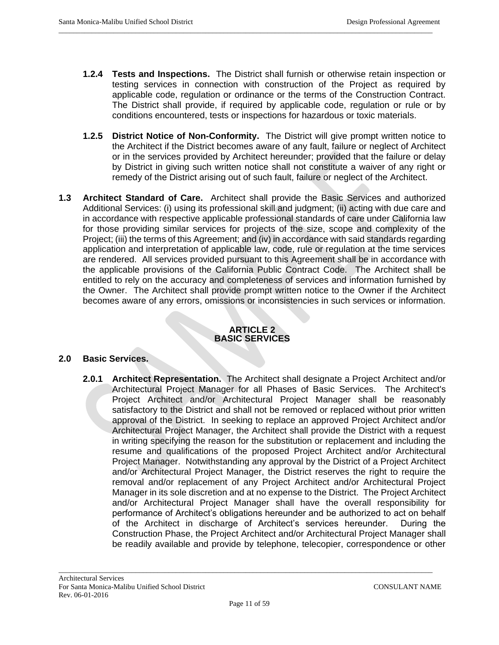**1.2.4 Tests and Inspections.** The District shall furnish or otherwise retain inspection or testing services in connection with construction of the Project as required by applicable code, regulation or ordinance or the terms of the Construction Contract. The District shall provide, if required by applicable code, regulation or rule or by conditions encountered, tests or inspections for hazardous or toxic materials.

 $\_$  ,  $\_$  ,  $\_$  ,  $\_$  ,  $\_$  ,  $\_$  ,  $\_$  ,  $\_$  ,  $\_$  ,  $\_$  ,  $\_$  ,  $\_$  ,  $\_$  ,  $\_$  ,  $\_$  ,  $\_$  ,  $\_$  ,  $\_$  ,  $\_$  ,  $\_$  ,  $\_$  ,  $\_$  ,  $\_$  ,  $\_$  ,  $\_$  ,  $\_$  ,  $\_$  ,  $\_$  ,  $\_$  ,  $\_$  ,  $\_$  ,  $\_$  ,  $\_$  ,  $\_$  ,  $\_$  ,  $\_$  ,  $\_$  ,

- **1.2.5 District Notice of Non-Conformity.** The District will give prompt written notice to the Architect if the District becomes aware of any fault, failure or neglect of Architect or in the services provided by Architect hereunder; provided that the failure or delay by District in giving such written notice shall not constitute a waiver of any right or remedy of the District arising out of such fault, failure or neglect of the Architect.
- **1.3 Architect Standard of Care.** Architect shall provide the Basic Services and authorized Additional Services: (i) using its professional skill and judgment; (ii) acting with due care and in accordance with respective applicable professional standards of care under California law for those providing similar services for projects of the size, scope and complexity of the Project; (iii) the terms of this Agreement; and (iv) in accordance with said standards regarding application and interpretation of applicable law, code, rule or regulation at the time services are rendered. All services provided pursuant to this Agreement shall be in accordance with the applicable provisions of the California Public Contract Code. The Architect shall be entitled to rely on the accuracy and completeness of services and information furnished by the Owner. The Architect shall provide prompt written notice to the Owner if the Architect becomes aware of any errors, omissions or inconsistencies in such services or information.

#### **ARTICLE 2 BASIC SERVICES**

## **2.0 Basic Services.**

**2.0.1 Architect Representation.** The Architect shall designate a Project Architect and/or Architectural Project Manager for all Phases of Basic Services. The Architect's Project Architect and/or Architectural Project Manager shall be reasonably satisfactory to the District and shall not be removed or replaced without prior written approval of the District. In seeking to replace an approved Project Architect and/or Architectural Project Manager, the Architect shall provide the District with a request in writing specifying the reason for the substitution or replacement and including the resume and qualifications of the proposed Project Architect and/or Architectural Project Manager. Notwithstanding any approval by the District of a Project Architect and/or Architectural Project Manager, the District reserves the right to require the removal and/or replacement of any Project Architect and/or Architectural Project Manager in its sole discretion and at no expense to the District. The Project Architect and/or Architectural Project Manager shall have the overall responsibility for performance of Architect's obligations hereunder and be authorized to act on behalf of the Architect in discharge of Architect's services hereunder. During the Construction Phase, the Project Architect and/or Architectural Project Manager shall be readily available and provide by telephone, telecopier, correspondence or other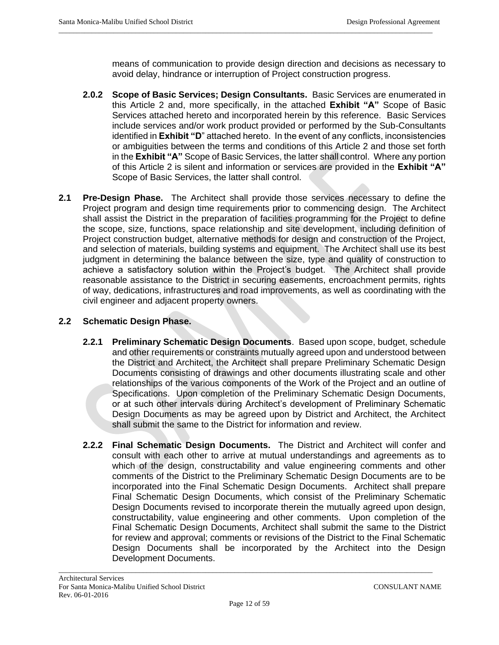means of communication to provide design direction and decisions as necessary to avoid delay, hindrance or interruption of Project construction progress.

**2.0.2 Scope of Basic Services; Design Consultants.** Basic Services are enumerated in this Article 2 and, more specifically, in the attached **Exhibit "A"** Scope of Basic Services attached hereto and incorporated herein by this reference. Basic Services include services and/or work product provided or performed by the Sub-Consultants identified in **Exhibit "D**" attached hereto. In the event of any conflicts, inconsistencies or ambiguities between the terms and conditions of this Article 2 and those set forth in the **Exhibit "A"** Scope of Basic Services, the latter shall control. Where any portion of this Article 2 is silent and information or services are provided in the **Exhibit "A"** Scope of Basic Services, the latter shall control.

 $\_$  ,  $\_$  ,  $\_$  ,  $\_$  ,  $\_$  ,  $\_$  ,  $\_$  ,  $\_$  ,  $\_$  ,  $\_$  ,  $\_$  ,  $\_$  ,  $\_$  ,  $\_$  ,  $\_$  ,  $\_$  ,  $\_$  ,  $\_$  ,  $\_$  ,  $\_$  ,  $\_$  ,  $\_$  ,  $\_$  ,  $\_$  ,  $\_$  ,  $\_$  ,  $\_$  ,  $\_$  ,  $\_$  ,  $\_$  ,  $\_$  ,  $\_$  ,  $\_$  ,  $\_$  ,  $\_$  ,  $\_$  ,  $\_$  ,

**2.1 Pre-Design Phase.** The Architect shall provide those services necessary to define the Project program and design time requirements prior to commencing design. The Architect shall assist the District in the preparation of facilities programming for the Project to define the scope, size, functions, space relationship and site development, including definition of Project construction budget, alternative methods for design and construction of the Project, and selection of materials, building systems and equipment. The Architect shall use its best judgment in determining the balance between the size, type and quality of construction to achieve a satisfactory solution within the Project's budget. The Architect shall provide reasonable assistance to the District in securing easements, encroachment permits, rights of way, dedications, infrastructures and road improvements, as well as coordinating with the civil engineer and adjacent property owners.

## **2.2 Schematic Design Phase.**

- **2.2.1 Preliminary Schematic Design Documents**. Based upon scope, budget, schedule and other requirements or constraints mutually agreed upon and understood between the District and Architect, the Architect shall prepare Preliminary Schematic Design Documents consisting of drawings and other documents illustrating scale and other relationships of the various components of the Work of the Project and an outline of Specifications. Upon completion of the Preliminary Schematic Design Documents, or at such other intervals during Architect's development of Preliminary Schematic Design Documents as may be agreed upon by District and Architect, the Architect shall submit the same to the District for information and review.
- **2.2.2 Final Schematic Design Documents.** The District and Architect will confer and consult with each other to arrive at mutual understandings and agreements as to which of the design, constructability and value engineering comments and other comments of the District to the Preliminary Schematic Design Documents are to be incorporated into the Final Schematic Design Documents. Architect shall prepare Final Schematic Design Documents, which consist of the Preliminary Schematic Design Documents revised to incorporate therein the mutually agreed upon design, constructability, value engineering and other comments. Upon completion of the Final Schematic Design Documents, Architect shall submit the same to the District for review and approval; comments or revisions of the District to the Final Schematic Design Documents shall be incorporated by the Architect into the Design Development Documents.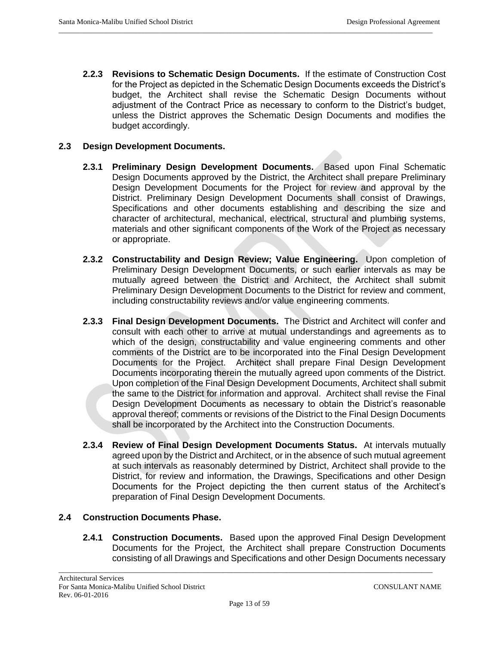**2.2.3 Revisions to Schematic Design Documents.** If the estimate of Construction Cost for the Project as depicted in the Schematic Design Documents exceeds the District's budget, the Architect shall revise the Schematic Design Documents without adjustment of the Contract Price as necessary to conform to the District's budget, unless the District approves the Schematic Design Documents and modifies the budget accordingly.

 $\_$  ,  $\_$  ,  $\_$  ,  $\_$  ,  $\_$  ,  $\_$  ,  $\_$  ,  $\_$  ,  $\_$  ,  $\_$  ,  $\_$  ,  $\_$  ,  $\_$  ,  $\_$  ,  $\_$  ,  $\_$  ,  $\_$  ,  $\_$  ,  $\_$  ,  $\_$  ,  $\_$  ,  $\_$  ,  $\_$  ,  $\_$  ,  $\_$  ,  $\_$  ,  $\_$  ,  $\_$  ,  $\_$  ,  $\_$  ,  $\_$  ,  $\_$  ,  $\_$  ,  $\_$  ,  $\_$  ,  $\_$  ,  $\_$  ,

## **2.3 Design Development Documents.**

- **2.3.1 Preliminary Design Development Documents.** Based upon Final Schematic Design Documents approved by the District, the Architect shall prepare Preliminary Design Development Documents for the Project for review and approval by the District. Preliminary Design Development Documents shall consist of Drawings, Specifications and other documents establishing and describing the size and character of architectural, mechanical, electrical, structural and plumbing systems, materials and other significant components of the Work of the Project as necessary or appropriate.
- **2.3.2 Constructability and Design Review; Value Engineering.** Upon completion of Preliminary Design Development Documents, or such earlier intervals as may be mutually agreed between the District and Architect, the Architect shall submit Preliminary Design Development Documents to the District for review and comment, including constructability reviews and/or value engineering comments.
- **2.3.3 Final Design Development Documents.** The District and Architect will confer and consult with each other to arrive at mutual understandings and agreements as to which of the design, constructability and value engineering comments and other comments of the District are to be incorporated into the Final Design Development Documents for the Project. Architect shall prepare Final Design Development Documents incorporating therein the mutually agreed upon comments of the District. Upon completion of the Final Design Development Documents, Architect shall submit the same to the District for information and approval. Architect shall revise the Final Design Development Documents as necessary to obtain the District's reasonable approval thereof; comments or revisions of the District to the Final Design Documents shall be incorporated by the Architect into the Construction Documents.
- **2.3.4 Review of Final Design Development Documents Status.** At intervals mutually agreed upon by the District and Architect, or in the absence of such mutual agreement at such intervals as reasonably determined by District, Architect shall provide to the District, for review and information, the Drawings, Specifications and other Design Documents for the Project depicting the then current status of the Architect's preparation of Final Design Development Documents.

## **2.4 Construction Documents Phase.**

**2.4.1 Construction Documents.** Based upon the approved Final Design Development Documents for the Project, the Architect shall prepare Construction Documents consisting of all Drawings and Specifications and other Design Documents necessary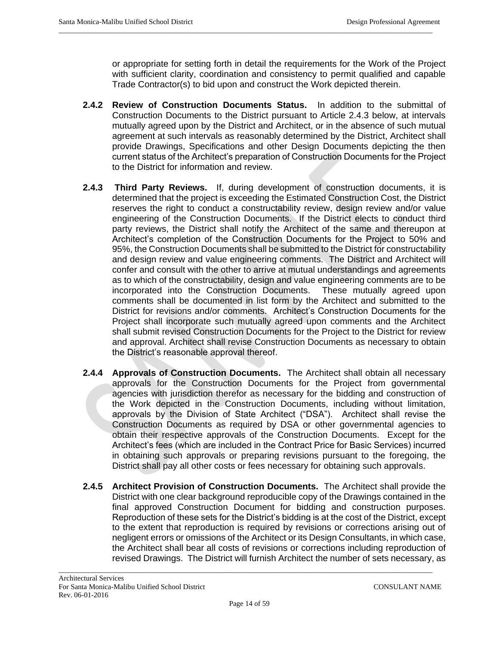or appropriate for setting forth in detail the requirements for the Work of the Project with sufficient clarity, coordination and consistency to permit qualified and capable Trade Contractor(s) to bid upon and construct the Work depicted therein.

**2.4.2 Review of Construction Documents Status.** In addition to the submittal of Construction Documents to the District pursuant to Article 2.4.3 below, at intervals mutually agreed upon by the District and Architect, or in the absence of such mutual agreement at such intervals as reasonably determined by the District, Architect shall provide Drawings, Specifications and other Design Documents depicting the then current status of the Architect's preparation of Construction Documents for the Project to the District for information and review.

 $\_$  ,  $\_$  ,  $\_$  ,  $\_$  ,  $\_$  ,  $\_$  ,  $\_$  ,  $\_$  ,  $\_$  ,  $\_$  ,  $\_$  ,  $\_$  ,  $\_$  ,  $\_$  ,  $\_$  ,  $\_$  ,  $\_$  ,  $\_$  ,  $\_$  ,  $\_$  ,  $\_$  ,  $\_$  ,  $\_$  ,  $\_$  ,  $\_$  ,  $\_$  ,  $\_$  ,  $\_$  ,  $\_$  ,  $\_$  ,  $\_$  ,  $\_$  ,  $\_$  ,  $\_$  ,  $\_$  ,  $\_$  ,  $\_$  ,

- **2.4.3 Third Party Reviews.** If, during development of construction documents, it is determined that the project is exceeding the Estimated Construction Cost, the District reserves the right to conduct a constructability review, design review and/or value engineering of the Construction Documents. If the District elects to conduct third party reviews, the District shall notify the Architect of the same and thereupon at Architect's completion of the Construction Documents for the Project to 50% and 95%, the Construction Documents shall be submitted to the District for constructability and design review and value engineering comments. The District and Architect will confer and consult with the other to arrive at mutual understandings and agreements as to which of the constructability, design and value engineering comments are to be incorporated into the Construction Documents. These mutually agreed upon comments shall be documented in list form by the Architect and submitted to the District for revisions and/or comments. Architect's Construction Documents for the Project shall incorporate such mutually agreed upon comments and the Architect shall submit revised Construction Documents for the Project to the District for review and approval. Architect shall revise Construction Documents as necessary to obtain the District's reasonable approval thereof.
- **2.4.4 Approvals of Construction Documents.** The Architect shall obtain all necessary approvals for the Construction Documents for the Project from governmental agencies with jurisdiction therefor as necessary for the bidding and construction of the Work depicted in the Construction Documents, including without limitation, approvals by the Division of State Architect ("DSA"). Architect shall revise the Construction Documents as required by DSA or other governmental agencies to obtain their respective approvals of the Construction Documents. Except for the Architect's fees (which are included in the Contract Price for Basic Services) incurred in obtaining such approvals or preparing revisions pursuant to the foregoing, the District shall pay all other costs or fees necessary for obtaining such approvals.
- **2.4.5 Architect Provision of Construction Documents.** The Architect shall provide the District with one clear background reproducible copy of the Drawings contained in the final approved Construction Document for bidding and construction purposes. Reproduction of these sets for the District's bidding is at the cost of the District, except to the extent that reproduction is required by revisions or corrections arising out of negligent errors or omissions of the Architect or its Design Consultants, in which case, the Architect shall bear all costs of revisions or corrections including reproduction of revised Drawings. The District will furnish Architect the number of sets necessary, as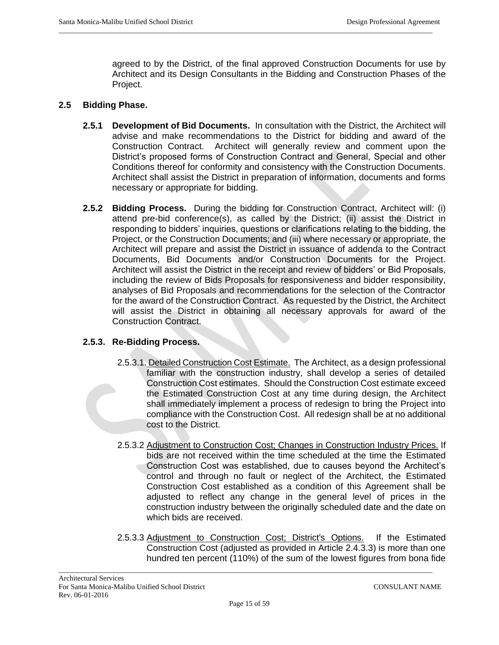agreed to by the District, of the final approved Construction Documents for use by Architect and its Design Consultants in the Bidding and Construction Phases of the Project.

 $\_$  ,  $\_$  ,  $\_$  ,  $\_$  ,  $\_$  ,  $\_$  ,  $\_$  ,  $\_$  ,  $\_$  ,  $\_$  ,  $\_$  ,  $\_$  ,  $\_$  ,  $\_$  ,  $\_$  ,  $\_$  ,  $\_$  ,  $\_$  ,  $\_$  ,  $\_$  ,  $\_$  ,  $\_$  ,  $\_$  ,  $\_$  ,  $\_$  ,  $\_$  ,  $\_$  ,  $\_$  ,  $\_$  ,  $\_$  ,  $\_$  ,  $\_$  ,  $\_$  ,  $\_$  ,  $\_$  ,  $\_$  ,  $\_$  ,

### **2.5 Bidding Phase.**

- **2.5.1 Development of Bid Documents.** In consultation with the District, the Architect will advise and make recommendations to the District for bidding and award of the Construction Contract. Architect will generally review and comment upon the District's proposed forms of Construction Contract and General, Special and other Conditions thereof for conformity and consistency with the Construction Documents. Architect shall assist the District in preparation of information, documents and forms necessary or appropriate for bidding.
- **2.5.2 Bidding Process.** During the bidding for Construction Contract, Architect will: (i) attend pre-bid conference(s), as called by the District; (ii) assist the District in responding to bidders' inquiries, questions or clarifications relating to the bidding, the Project, or the Construction Documents; and (iii) where necessary or appropriate, the Architect will prepare and assist the District in issuance of addenda to the Contract Documents, Bid Documents and/or Construction Documents for the Project. Architect will assist the District in the receipt and review of bidders' or Bid Proposals, including the review of Bids Proposals for responsiveness and bidder responsibility, analyses of Bid Proposals and recommendations for the selection of the Contractor for the award of the Construction Contract. As requested by the District, the Architect will assist the District in obtaining all necessary approvals for award of the Construction Contract.

#### **2.5.3. Re-Bidding Process.**

- 2.5.3.1. Detailed Construction Cost Estimate.The Architect, as a design professional familiar with the construction industry, shall develop a series of detailed Construction Cost estimates. Should the Construction Cost estimate exceed the Estimated Construction Cost at any time during design, the Architect shall immediately implement a process of redesign to bring the Project into compliance with the Construction Cost. All redesign shall be at no additional cost to the District.
- 2.5.3.2 Adjustment to Construction Cost; Changes in Construction Industry Prices. If bids are not received within the time scheduled at the time the Estimated Construction Cost was established, due to causes beyond the Architect's control and through no fault or neglect of the Architect, the Estimated Construction Cost established as a condition of this Agreement shall be adjusted to reflect any change in the general level of prices in the construction industry between the originally scheduled date and the date on which bids are received.
- 2.5.3.3 Adjustment to Construction Cost; District's Options.If the Estimated Construction Cost (adjusted as provided in Article 2.4.3.3) is more than one hundred ten percent (110%) of the sum of the lowest figures from bona fide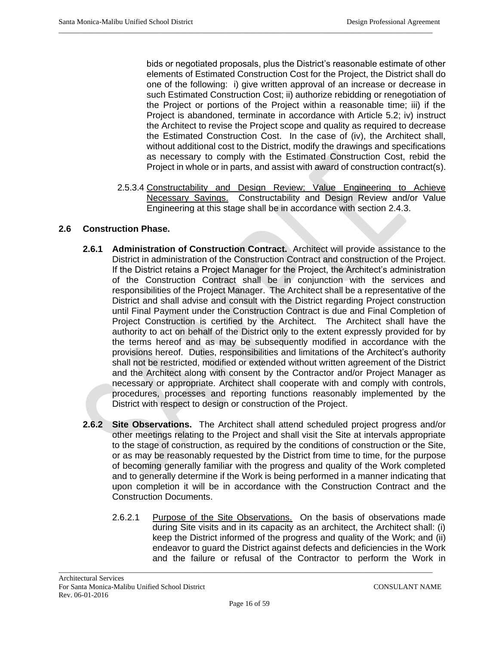bids or negotiated proposals, plus the District's reasonable estimate of other elements of Estimated Construction Cost for the Project, the District shall do one of the following: i) give written approval of an increase or decrease in such Estimated Construction Cost; ii) authorize rebidding or renegotiation of the Project or portions of the Project within a reasonable time; iii) if the Project is abandoned, terminate in accordance with Article 5.2; iv) instruct the Architect to revise the Project scope and quality as required to decrease the Estimated Construction Cost. In the case of (iv), the Architect shall, without additional cost to the District, modify the drawings and specifications as necessary to comply with the Estimated Construction Cost, rebid the Project in whole or in parts, and assist with award of construction contract(s).

 $\_$  ,  $\_$  ,  $\_$  ,  $\_$  ,  $\_$  ,  $\_$  ,  $\_$  ,  $\_$  ,  $\_$  ,  $\_$  ,  $\_$  ,  $\_$  ,  $\_$  ,  $\_$  ,  $\_$  ,  $\_$  ,  $\_$  ,  $\_$  ,  $\_$  ,  $\_$  ,  $\_$  ,  $\_$  ,  $\_$  ,  $\_$  ,  $\_$  ,  $\_$  ,  $\_$  ,  $\_$  ,  $\_$  ,  $\_$  ,  $\_$  ,  $\_$  ,  $\_$  ,  $\_$  ,  $\_$  ,  $\_$  ,  $\_$  ,

2.5.3.4 Constructability and Design Review; Value Engineering to Achieve Necessary Savings. Constructability and Design Review and/or Value Engineering at this stage shall be in accordance with section 2.4.3.

## **2.6 Construction Phase.**

- **2.6.1 Administration of Construction Contract.** Architect will provide assistance to the District in administration of the Construction Contract and construction of the Project. If the District retains a Project Manager for the Project, the Architect's administration of the Construction Contract shall be in conjunction with the services and responsibilities of the Project Manager. The Architect shall be a representative of the District and shall advise and consult with the District regarding Project construction until Final Payment under the Construction Contract is due and Final Completion of Project Construction is certified by the Architect. The Architect shall have the authority to act on behalf of the District only to the extent expressly provided for by the terms hereof and as may be subsequently modified in accordance with the provisions hereof. Duties, responsibilities and limitations of the Architect's authority shall not be restricted, modified or extended without written agreement of the District and the Architect along with consent by the Contractor and/or Project Manager as necessary or appropriate. Architect shall cooperate with and comply with controls, procedures, processes and reporting functions reasonably implemented by the District with respect to design or construction of the Project.
- **2.6.2 Site Observations.** The Architect shall attend scheduled project progress and/or other meetings relating to the Project and shall visit the Site at intervals appropriate to the stage of construction, as required by the conditions of construction or the Site, or as may be reasonably requested by the District from time to time, for the purpose of becoming generally familiar with the progress and quality of the Work completed and to generally determine if the Work is being performed in a manner indicating that upon completion it will be in accordance with the Construction Contract and the Construction Documents.
	- 2.6.2.1 Purpose of the Site Observations. On the basis of observations made during Site visits and in its capacity as an architect, the Architect shall: (i) keep the District informed of the progress and quality of the Work; and (ii) endeavor to guard the District against defects and deficiencies in the Work and the failure or refusal of the Contractor to perform the Work in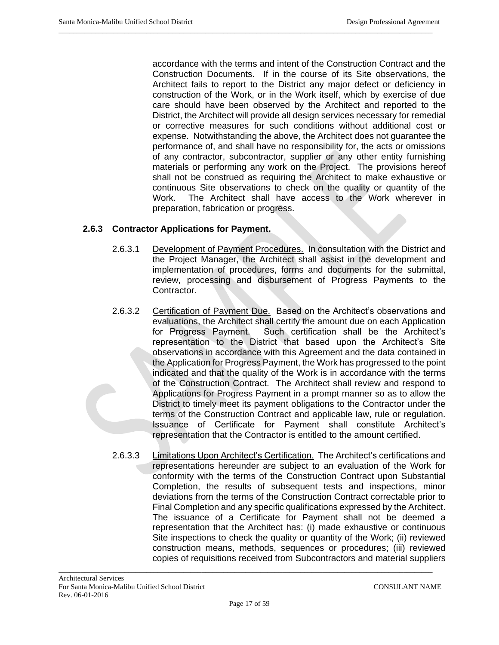accordance with the terms and intent of the Construction Contract and the Construction Documents. If in the course of its Site observations, the Architect fails to report to the District any major defect or deficiency in construction of the Work, or in the Work itself, which by exercise of due care should have been observed by the Architect and reported to the District, the Architect will provide all design services necessary for remedial or corrective measures for such conditions without additional cost or expense. Notwithstanding the above, the Architect does not guarantee the performance of, and shall have no responsibility for, the acts or omissions of any contractor, subcontractor, supplier or any other entity furnishing materials or performing any work on the Project. The provisions hereof shall not be construed as requiring the Architect to make exhaustive or continuous Site observations to check on the quality or quantity of the Work. The Architect shall have access to the Work wherever in preparation, fabrication or progress.

 $\_$  ,  $\_$  ,  $\_$  ,  $\_$  ,  $\_$  ,  $\_$  ,  $\_$  ,  $\_$  ,  $\_$  ,  $\_$  ,  $\_$  ,  $\_$  ,  $\_$  ,  $\_$  ,  $\_$  ,  $\_$  ,  $\_$  ,  $\_$  ,  $\_$  ,  $\_$  ,  $\_$  ,  $\_$  ,  $\_$  ,  $\_$  ,  $\_$  ,  $\_$  ,  $\_$  ,  $\_$  ,  $\_$  ,  $\_$  ,  $\_$  ,  $\_$  ,  $\_$  ,  $\_$  ,  $\_$  ,  $\_$  ,  $\_$  ,

### **2.6.3 Contractor Applications for Payment.**

- 2.6.3.1 Development of Payment Procedures. In consultation with the District and the Project Manager, the Architect shall assist in the development and implementation of procedures, forms and documents for the submittal, review, processing and disbursement of Progress Payments to the Contractor.
- 2.6.3.2 Certification of Payment Due. Based on the Architect's observations and evaluations, the Architect shall certify the amount due on each Application for Progress Payment. Such certification shall be the Architect's representation to the District that based upon the Architect's Site observations in accordance with this Agreement and the data contained in the Application for Progress Payment, the Work has progressed to the point indicated and that the quality of the Work is in accordance with the terms of the Construction Contract. The Architect shall review and respond to Applications for Progress Payment in a prompt manner so as to allow the District to timely meet its payment obligations to the Contractor under the terms of the Construction Contract and applicable law, rule or regulation. Issuance of Certificate for Payment shall constitute Architect's representation that the Contractor is entitled to the amount certified.
- 2.6.3.3 Limitations Upon Architect's Certification. The Architect's certifications and representations hereunder are subject to an evaluation of the Work for conformity with the terms of the Construction Contract upon Substantial Completion, the results of subsequent tests and inspections, minor deviations from the terms of the Construction Contract correctable prior to Final Completion and any specific qualifications expressed by the Architect. The issuance of a Certificate for Payment shall not be deemed a representation that the Architect has: (i) made exhaustive or continuous Site inspections to check the quality or quantity of the Work; (ii) reviewed construction means, methods, sequences or procedures; (iii) reviewed copies of requisitions received from Subcontractors and material suppliers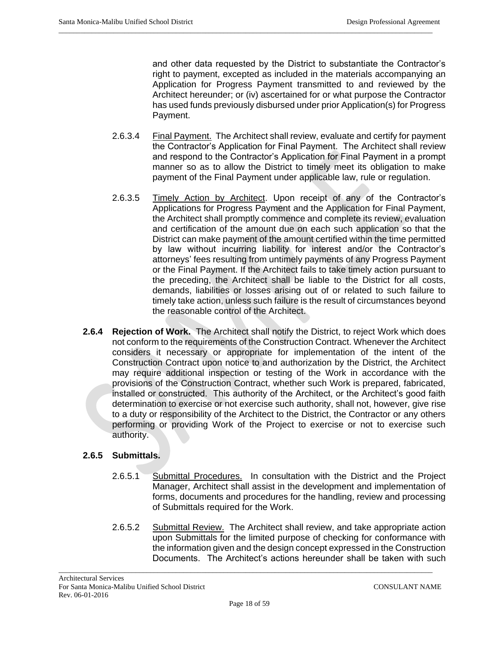and other data requested by the District to substantiate the Contractor's right to payment, excepted as included in the materials accompanying an Application for Progress Payment transmitted to and reviewed by the Architect hereunder; or (iv) ascertained for or what purpose the Contractor has used funds previously disbursed under prior Application(s) for Progress Payment.

2.6.3.4 Final Payment. The Architect shall review, evaluate and certify for payment the Contractor's Application for Final Payment. The Architect shall review and respond to the Contractor's Application for Final Payment in a prompt manner so as to allow the District to timely meet its obligation to make payment of the Final Payment under applicable law, rule or regulation.

 $\_$  ,  $\_$  ,  $\_$  ,  $\_$  ,  $\_$  ,  $\_$  ,  $\_$  ,  $\_$  ,  $\_$  ,  $\_$  ,  $\_$  ,  $\_$  ,  $\_$  ,  $\_$  ,  $\_$  ,  $\_$  ,  $\_$  ,  $\_$  ,  $\_$  ,  $\_$  ,  $\_$  ,  $\_$  ,  $\_$  ,  $\_$  ,  $\_$  ,  $\_$  ,  $\_$  ,  $\_$  ,  $\_$  ,  $\_$  ,  $\_$  ,  $\_$  ,  $\_$  ,  $\_$  ,  $\_$  ,  $\_$  ,  $\_$  ,

- 2.6.3.5 Timely Action by Architect. Upon receipt of any of the Contractor's Applications for Progress Payment and the Application for Final Payment, the Architect shall promptly commence and complete its review, evaluation and certification of the amount due on each such application so that the District can make payment of the amount certified within the time permitted by law without incurring liability for interest and/or the Contractor's attorneys' fees resulting from untimely payments of any Progress Payment or the Final Payment. If the Architect fails to take timely action pursuant to the preceding, the Architect shall be liable to the District for all costs, demands, liabilities or losses arising out of or related to such failure to timely take action, unless such failure is the result of circumstances beyond the reasonable control of the Architect.
- **2.6.4 Rejection of Work.** The Architect shall notify the District, to reject Work which does not conform to the requirements of the Construction Contract. Whenever the Architect considers it necessary or appropriate for implementation of the intent of the Construction Contract upon notice to and authorization by the District, the Architect may require additional inspection or testing of the Work in accordance with the provisions of the Construction Contract, whether such Work is prepared, fabricated, installed or constructed. This authority of the Architect, or the Architect's good faith determination to exercise or not exercise such authority, shall not, however, give rise to a duty or responsibility of the Architect to the District, the Contractor or any others performing or providing Work of the Project to exercise or not to exercise such authority.

# **2.6.5 Submittals.**

- 2.6.5.1 Submittal Procedures. In consultation with the District and the Project Manager, Architect shall assist in the development and implementation of forms, documents and procedures for the handling, review and processing of Submittals required for the Work.
- 2.6.5.2 Submittal Review. The Architect shall review, and take appropriate action upon Submittals for the limited purpose of checking for conformance with the information given and the design concept expressed in the Construction Documents. The Architect's actions hereunder shall be taken with such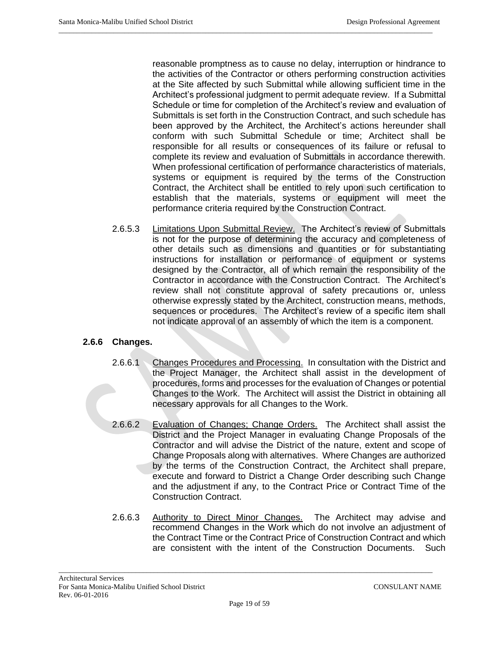reasonable promptness as to cause no delay, interruption or hindrance to the activities of the Contractor or others performing construction activities at the Site affected by such Submittal while allowing sufficient time in the Architect's professional judgment to permit adequate review. If a Submittal Schedule or time for completion of the Architect's review and evaluation of Submittals is set forth in the Construction Contract, and such schedule has been approved by the Architect, the Architect's actions hereunder shall conform with such Submittal Schedule or time; Architect shall be responsible for all results or consequences of its failure or refusal to complete its review and evaluation of Submittals in accordance therewith. When professional certification of performance characteristics of materials, systems or equipment is required by the terms of the Construction Contract, the Architect shall be entitled to rely upon such certification to establish that the materials, systems or equipment will meet the performance criteria required by the Construction Contract.

 $\_$  ,  $\_$  ,  $\_$  ,  $\_$  ,  $\_$  ,  $\_$  ,  $\_$  ,  $\_$  ,  $\_$  ,  $\_$  ,  $\_$  ,  $\_$  ,  $\_$  ,  $\_$  ,  $\_$  ,  $\_$  ,  $\_$  ,  $\_$  ,  $\_$  ,  $\_$  ,  $\_$  ,  $\_$  ,  $\_$  ,  $\_$  ,  $\_$  ,  $\_$  ,  $\_$  ,  $\_$  ,  $\_$  ,  $\_$  ,  $\_$  ,  $\_$  ,  $\_$  ,  $\_$  ,  $\_$  ,  $\_$  ,  $\_$  ,

2.6.5.3 Limitations Upon Submittal Review. The Architect's review of Submittals is not for the purpose of determining the accuracy and completeness of other details such as dimensions and quantities or for substantiating instructions for installation or performance of equipment or systems designed by the Contractor, all of which remain the responsibility of the Contractor in accordance with the Construction Contract. The Architect's review shall not constitute approval of safety precautions or, unless otherwise expressly stated by the Architect, construction means, methods, sequences or procedures. The Architect's review of a specific item shall not indicate approval of an assembly of which the item is a component.

## **2.6.6 Changes.**

- 2.6.6.1 Changes Procedures and Processing. In consultation with the District and the Project Manager, the Architect shall assist in the development of procedures, forms and processes for the evaluation of Changes or potential Changes to the Work. The Architect will assist the District in obtaining all necessary approvals for all Changes to the Work.
- 2.6.6.2 Evaluation of Changes; Change Orders. The Architect shall assist the District and the Project Manager in evaluating Change Proposals of the Contractor and will advise the District of the nature, extent and scope of Change Proposals along with alternatives. Where Changes are authorized by the terms of the Construction Contract, the Architect shall prepare, execute and forward to District a Change Order describing such Change and the adjustment if any, to the Contract Price or Contract Time of the Construction Contract.
- 2.6.6.3 Authority to Direct Minor Changes. The Architect may advise and recommend Changes in the Work which do not involve an adjustment of the Contract Time or the Contract Price of Construction Contract and which are consistent with the intent of the Construction Documents. Such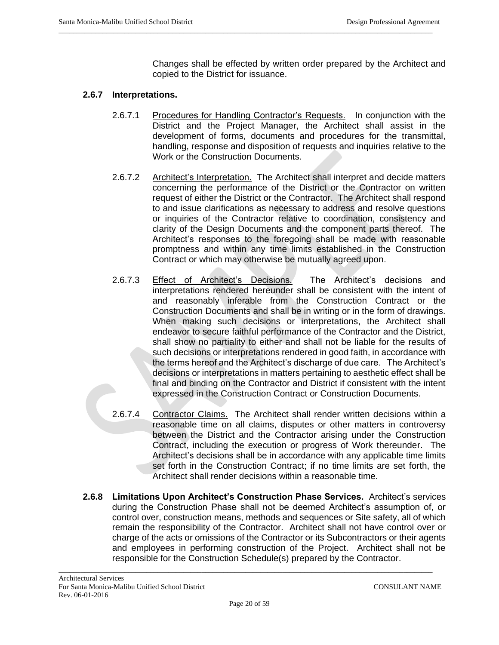Changes shall be effected by written order prepared by the Architect and copied to the District for issuance.

### **2.6.7 Interpretations.**

2.6.7.1 Procedures for Handling Contractor's Requests. In conjunction with the District and the Project Manager, the Architect shall assist in the development of forms, documents and procedures for the transmittal, handling, response and disposition of requests and inquiries relative to the Work or the Construction Documents.

 $\_$  ,  $\_$  ,  $\_$  ,  $\_$  ,  $\_$  ,  $\_$  ,  $\_$  ,  $\_$  ,  $\_$  ,  $\_$  ,  $\_$  ,  $\_$  ,  $\_$  ,  $\_$  ,  $\_$  ,  $\_$  ,  $\_$  ,  $\_$  ,  $\_$  ,  $\_$  ,  $\_$  ,  $\_$  ,  $\_$  ,  $\_$  ,  $\_$  ,  $\_$  ,  $\_$  ,  $\_$  ,  $\_$  ,  $\_$  ,  $\_$  ,  $\_$  ,  $\_$  ,  $\_$  ,  $\_$  ,  $\_$  ,  $\_$  ,

- 2.6.7.2 Architect's Interpretation. The Architect shall interpret and decide matters concerning the performance of the District or the Contractor on written request of either the District or the Contractor. The Architect shall respond to and issue clarifications as necessary to address and resolve questions or inquiries of the Contractor relative to coordination, consistency and clarity of the Design Documents and the component parts thereof. The Architect's responses to the foregoing shall be made with reasonable promptness and within any time limits established in the Construction Contract or which may otherwise be mutually agreed upon.
- 2.6.7.3 Effect of Architect's Decisions. The Architect's decisions and interpretations rendered hereunder shall be consistent with the intent of and reasonably inferable from the Construction Contract or the Construction Documents and shall be in writing or in the form of drawings. When making such decisions or interpretations, the Architect shall endeavor to secure faithful performance of the Contractor and the District, shall show no partiality to either and shall not be liable for the results of such decisions or interpretations rendered in good faith, in accordance with the terms hereof and the Architect's discharge of due care. The Architect's decisions or interpretations in matters pertaining to aesthetic effect shall be final and binding on the Contractor and District if consistent with the intent expressed in the Construction Contract or Construction Documents.
- 2.6.7.4 Contractor Claims. The Architect shall render written decisions within a reasonable time on all claims, disputes or other matters in controversy between the District and the Contractor arising under the Construction Contract, including the execution or progress of Work thereunder. The Architect's decisions shall be in accordance with any applicable time limits set forth in the Construction Contract; if no time limits are set forth, the Architect shall render decisions within a reasonable time.
- **2.6.8 Limitations Upon Architect's Construction Phase Services.** Architect's services during the Construction Phase shall not be deemed Architect's assumption of, or control over, construction means, methods and sequences or Site safety, all of which remain the responsibility of the Contractor. Architect shall not have control over or charge of the acts or omissions of the Contractor or its Subcontractors or their agents and employees in performing construction of the Project. Architect shall not be responsible for the Construction Schedule(s) prepared by the Contractor.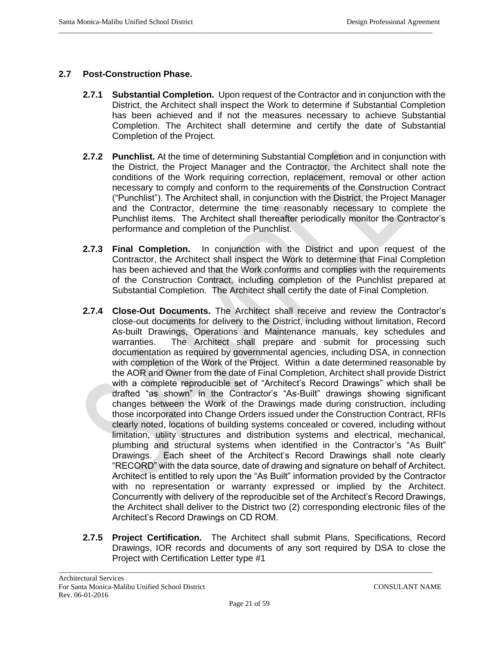## **2.7 Post-Construction Phase.**

**2.7.1 Substantial Completion.** Upon request of the Contractor and in conjunction with the District, the Architect shall inspect the Work to determine if Substantial Completion has been achieved and if not the measures necessary to achieve Substantial Completion. The Architect shall determine and certify the date of Substantial Completion of the Project.

 $\_$  ,  $\_$  ,  $\_$  ,  $\_$  ,  $\_$  ,  $\_$  ,  $\_$  ,  $\_$  ,  $\_$  ,  $\_$  ,  $\_$  ,  $\_$  ,  $\_$  ,  $\_$  ,  $\_$  ,  $\_$  ,  $\_$  ,  $\_$  ,  $\_$  ,  $\_$  ,  $\_$  ,  $\_$  ,  $\_$  ,  $\_$  ,  $\_$  ,  $\_$  ,  $\_$  ,  $\_$  ,  $\_$  ,  $\_$  ,  $\_$  ,  $\_$  ,  $\_$  ,  $\_$  ,  $\_$  ,  $\_$  ,  $\_$  ,

- **2.7.2 Punchlist.** At the time of determining Substantial Completion and in conjunction with the District, the Project Manager and the Contractor, the Architect shall note the conditions of the Work requiring correction, replacement, removal or other action necessary to comply and conform to the requirements of the Construction Contract ("Punchlist"). The Architect shall, in conjunction with the District, the Project Manager and the Contractor, determine the time reasonably necessary to complete the Punchlist items. The Architect shall thereafter periodically monitor the Contractor's performance and completion of the Punchlist.
- **2.7.3 Final Completion.** In conjunction with the District and upon request of the Contractor, the Architect shall inspect the Work to determine that Final Completion has been achieved and that the Work conforms and complies with the requirements of the Construction Contract, including completion of the Punchlist prepared at Substantial Completion. The Architect shall certify the date of Final Completion.
- **2.7.4 Close-Out Documents.** The Architect shall receive and review the Contractor's close-out documents for delivery to the District, including without limitation, Record As-built Drawings, Operations and Maintenance manuals, key schedules and warranties. The Architect shall prepare and submit for processing such documentation as required by governmental agencies, including DSA, in connection with completion of the Work of the Project. Within a date determined reasonable by the AOR and Owner from the date of Final Completion, Architect shall provide District with a complete reproducible set of "Architect's Record Drawings" which shall be drafted "as shown" in the Contractor's "As-Built" drawings showing significant changes between the Work of the Drawings made during construction, including those incorporated into Change Orders issued under the Construction Contract, RFIs clearly noted, locations of building systems concealed or covered, including without limitation, utility structures and distribution systems and electrical, mechanical, plumbing and structural systems when identified in the Contractor's "As Built" Drawings. Each sheet of the Architect's Record Drawings shall note clearly "RECORD" with the data source, date of drawing and signature on behalf of Architect. Architect is entitled to rely upon the "As Built" information provided by the Contractor with no representation or warranty expressed or implied by the Architect. Concurrently with delivery of the reproducible set of the Architect's Record Drawings, the Architect shall deliver to the District two (2) corresponding electronic files of the Architect's Record Drawings on CD ROM.
- **2.7.5 Project Certification.** The Architect shall submit Plans, Specifications, Record Drawings, IOR records and documents of any sort required by DSA to close the Project with Certification Letter type #1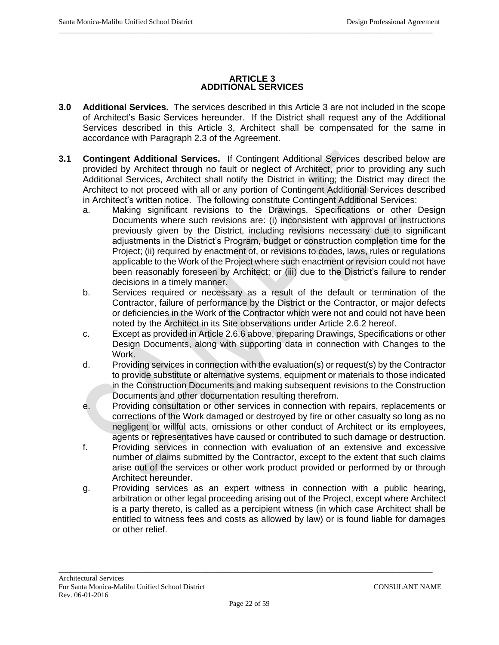#### **ARTICLE 3 ADDITIONAL SERVICES**

 $\_$  ,  $\_$  ,  $\_$  ,  $\_$  ,  $\_$  ,  $\_$  ,  $\_$  ,  $\_$  ,  $\_$  ,  $\_$  ,  $\_$  ,  $\_$  ,  $\_$  ,  $\_$  ,  $\_$  ,  $\_$  ,  $\_$  ,  $\_$  ,  $\_$  ,  $\_$  ,  $\_$  ,  $\_$  ,  $\_$  ,  $\_$  ,  $\_$  ,  $\_$  ,  $\_$  ,  $\_$  ,  $\_$  ,  $\_$  ,  $\_$  ,  $\_$  ,  $\_$  ,  $\_$  ,  $\_$  ,  $\_$  ,  $\_$  ,

- **3.0 Additional Services.** The services described in this Article 3 are not included in the scope of Architect's Basic Services hereunder. If the District shall request any of the Additional Services described in this Article 3, Architect shall be compensated for the same in accordance with Paragraph 2.3 of the Agreement.
- **3.1 Contingent Additional Services.** If Contingent Additional Services described below are provided by Architect through no fault or neglect of Architect, prior to providing any such Additional Services, Architect shall notify the District in writing; the District may direct the Architect to not proceed with all or any portion of Contingent Additional Services described in Architect's written notice. The following constitute Contingent Additional Services:
	- a. Making significant revisions to the Drawings, Specifications or other Design Documents where such revisions are: (i) inconsistent with approval or instructions previously given by the District, including revisions necessary due to significant adjustments in the District's Program, budget or construction completion time for the Project; (ii) required by enactment of, or revisions to codes, laws, rules or regulations applicable to the Work of the Project where such enactment or revision could not have been reasonably foreseen by Architect; or (iii) due to the District's failure to render decisions in a timely manner.
	- b. Services required or necessary as a result of the default or termination of the Contractor, failure of performance by the District or the Contractor, or major defects or deficiencies in the Work of the Contractor which were not and could not have been noted by the Architect in its Site observations under Article 2.6.2 hereof.
	- c. Except as provided in Article 2.6.6 above, preparing Drawings, Specifications or other Design Documents, along with supporting data in connection with Changes to the Work.
	- d. Providing services in connection with the evaluation(s) or request(s) by the Contractor to provide substitute or alternative systems, equipment or materials to those indicated in the Construction Documents and making subsequent revisions to the Construction Documents and other documentation resulting therefrom.
	- e. Providing consultation or other services in connection with repairs, replacements or corrections of the Work damaged or destroyed by fire or other casualty so long as no negligent or willful acts, omissions or other conduct of Architect or its employees, agents or representatives have caused or contributed to such damage or destruction.
	- f. Providing services in connection with evaluation of an extensive and excessive number of claims submitted by the Contractor, except to the extent that such claims arise out of the services or other work product provided or performed by or through Architect hereunder.
	- g. Providing services as an expert witness in connection with a public hearing, arbitration or other legal proceeding arising out of the Project, except where Architect is a party thereto, is called as a percipient witness (in which case Architect shall be entitled to witness fees and costs as allowed by law) or is found liable for damages or other relief.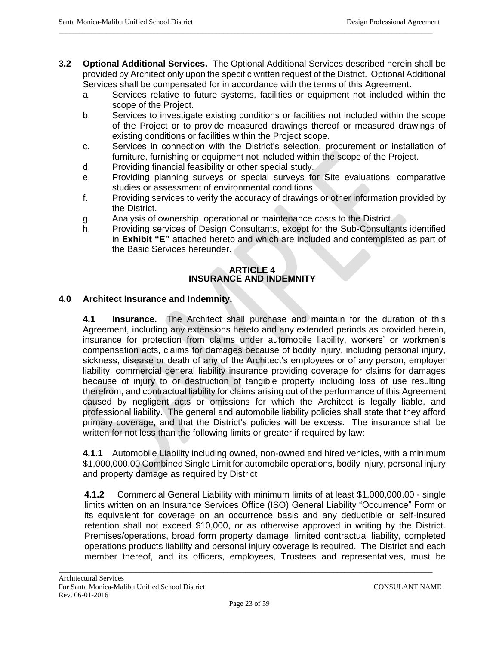**3.2 Optional Additional Services.** The Optional Additional Services described herein shall be provided by Architect only upon the specific written request of the District. Optional Additional Services shall be compensated for in accordance with the terms of this Agreement.

 $\_$  ,  $\_$  ,  $\_$  ,  $\_$  ,  $\_$  ,  $\_$  ,  $\_$  ,  $\_$  ,  $\_$  ,  $\_$  ,  $\_$  ,  $\_$  ,  $\_$  ,  $\_$  ,  $\_$  ,  $\_$  ,  $\_$  ,  $\_$  ,  $\_$  ,  $\_$  ,  $\_$  ,  $\_$  ,  $\_$  ,  $\_$  ,  $\_$  ,  $\_$  ,  $\_$  ,  $\_$  ,  $\_$  ,  $\_$  ,  $\_$  ,  $\_$  ,  $\_$  ,  $\_$  ,  $\_$  ,  $\_$  ,  $\_$  ,

- a. Services relative to future systems, facilities or equipment not included within the scope of the Project.
- b. Services to investigate existing conditions or facilities not included within the scope of the Project or to provide measured drawings thereof or measured drawings of existing conditions or facilities within the Project scope.
- c. Services in connection with the District's selection, procurement or installation of furniture, furnishing or equipment not included within the scope of the Project.
- d. Providing financial feasibility or other special study.
- e. Providing planning surveys or special surveys for Site evaluations, comparative studies or assessment of environmental conditions.
- f. Providing services to verify the accuracy of drawings or other information provided by the District.
- g. Analysis of ownership, operational or maintenance costs to the District.
- h. Providing services of Design Consultants, except for the Sub-Consultants identified in **Exhibit "E"** attached hereto and which are included and contemplated as part of the Basic Services hereunder.

### **ARTICLE 4 INSURANCE AND INDEMNITY**

# **4.0 Architect Insurance and Indemnity.**

**4.1 Insurance.** The Architect shall purchase and maintain for the duration of this Agreement, including any extensions hereto and any extended periods as provided herein, insurance for protection from claims under automobile liability, workers' or workmen's compensation acts, claims for damages because of bodily injury, including personal injury, sickness, disease or death of any of the Architect's employees or of any person, employer liability, commercial general liability insurance providing coverage for claims for damages because of injury to or destruction of tangible property including loss of use resulting therefrom, and contractual liability for claims arising out of the performance of this Agreement caused by negligent acts or omissions for which the Architect is legally liable, and professional liability. The general and automobile liability policies shall state that they afford primary coverage, and that the District's policies will be excess. The insurance shall be written for not less than the following limits or greater if required by law:

**4.1.1** Automobile Liability including owned, non-owned and hired vehicles, with a minimum \$1,000,000.00 Combined Single Limit for automobile operations, bodily injury, personal injury and property damage as required by District

**4.1.2** Commercial General Liability with minimum limits of at least \$1,000,000.00 - single limits written on an Insurance Services Office (ISO) General Liability "Occurrence" Form or its equivalent for coverage on an occurrence basis and any deductible or self-insured retention shall not exceed \$10,000, or as otherwise approved in writing by the District. Premises/operations, broad form property damage, limited contractual liability, completed operations products liability and personal injury coverage is required. The District and each member thereof, and its officers, employees, Trustees and representatives, must be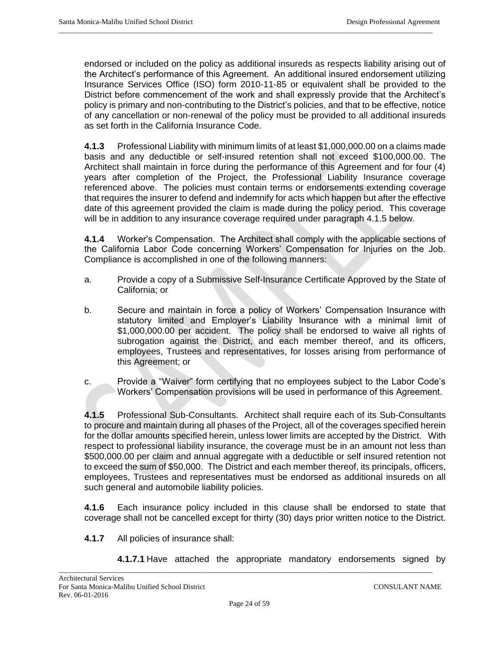endorsed or included on the policy as additional insureds as respects liability arising out of the Architect's performance of this Agreement. An additional insured endorsement utilizing Insurance Services Office (ISO) form 2010-11-85 or equivalent shall be provided to the District before commencement of the work and shall expressly provide that the Architect's policy is primary and non-contributing to the District's policies, and that to be effective, notice of any cancellation or non-renewal of the policy must be provided to all additional insureds as set forth in the California Insurance Code.

 $\_$  ,  $\_$  ,  $\_$  ,  $\_$  ,  $\_$  ,  $\_$  ,  $\_$  ,  $\_$  ,  $\_$  ,  $\_$  ,  $\_$  ,  $\_$  ,  $\_$  ,  $\_$  ,  $\_$  ,  $\_$  ,  $\_$  ,  $\_$  ,  $\_$  ,  $\_$  ,  $\_$  ,  $\_$  ,  $\_$  ,  $\_$  ,  $\_$  ,  $\_$  ,  $\_$  ,  $\_$  ,  $\_$  ,  $\_$  ,  $\_$  ,  $\_$  ,  $\_$  ,  $\_$  ,  $\_$  ,  $\_$  ,  $\_$  ,

**4.1.3** Professional Liability with minimum limits of at least \$1,000,000.00 on a claims made basis and any deductible or self-insured retention shall not exceed \$100,000.00. The Architect shall maintain in force during the performance of this Agreement and for four (4) years after completion of the Project, the Professional Liability Insurance coverage referenced above. The policies must contain terms or endorsements extending coverage that requires the insurer to defend and indemnify for acts which happen but after the effective date of this agreement provided the claim is made during the policy period. This coverage will be in addition to any insurance coverage required under paragraph 4.1.5 below.

**4.1.4** Worker's Compensation. The Architect shall comply with the applicable sections of the California Labor Code concerning Workers' Compensation for Injuries on the Job. Compliance is accomplished in one of the following manners:

- a. Provide a copy of a Submissive Self-Insurance Certificate Approved by the State of California; or
- b. Secure and maintain in force a policy of Workers' Compensation Insurance with statutory limited and Employer's Liability Insurance with a minimal limit of \$1,000,000.00 per accident. The policy shall be endorsed to waive all rights of subrogation against the District, and each member thereof, and its officers, employees, Trustees and representatives, for losses arising from performance of this Agreement; or
- c. Provide a "Waiver" form certifying that no employees subject to the Labor Code's Workers' Compensation provisions will be used in performance of this Agreement.

**4.1.5** Professional Sub-Consultants.Architect shall require each of its Sub-Consultants to procure and maintain during all phases of the Project, all of the coverages specified herein for the dollar amounts specified herein, unless lower limits are accepted by the District. With respect to professional liability insurance, the coverage must be in an amount not less than \$500,000.00 per claim and annual aggregate with a deductible or self insured retention not to exceed the sum of \$50,000. The District and each member thereof, its principals, officers, employees, Trustees and representatives must be endorsed as additional insureds on all such general and automobile liability policies.

**4.1.6** Each insurance policy included in this clause shall be endorsed to state that coverage shall not be cancelled except for thirty (30) days prior written notice to the District.

- **4.1.7** All policies of insurance shall:
	- **4.1.7.1** Have attached the appropriate mandatory endorsements signed by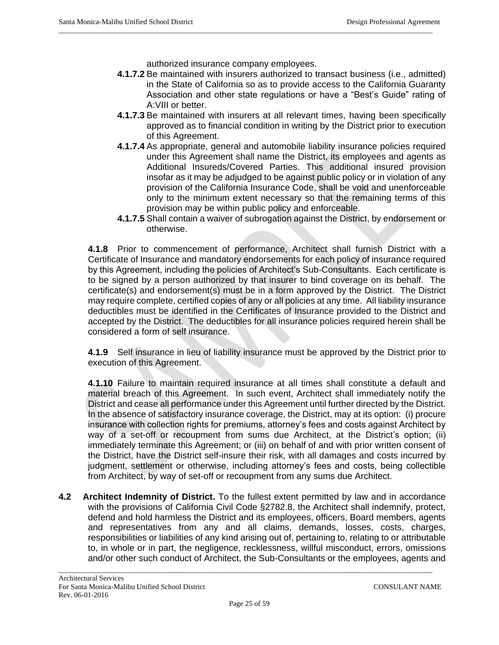authorized insurance company employees.

 $\_$  ,  $\_$  ,  $\_$  ,  $\_$  ,  $\_$  ,  $\_$  ,  $\_$  ,  $\_$  ,  $\_$  ,  $\_$  ,  $\_$  ,  $\_$  ,  $\_$  ,  $\_$  ,  $\_$  ,  $\_$  ,  $\_$  ,  $\_$  ,  $\_$  ,  $\_$  ,  $\_$  ,  $\_$  ,  $\_$  ,  $\_$  ,  $\_$  ,  $\_$  ,  $\_$  ,  $\_$  ,  $\_$  ,  $\_$  ,  $\_$  ,  $\_$  ,  $\_$  ,  $\_$  ,  $\_$  ,  $\_$  ,  $\_$  ,

- **4.1.7.2** Be maintained with insurers authorized to transact business (i.e., admitted) in the State of California so as to provide access to the California Guaranty Association and other state regulations or have a "Best's Guide" rating of A:VIII or better.
- **4.1.7.3** Be maintained with insurers at all relevant times, having been specifically approved as to financial condition in writing by the District prior to execution of this Agreement.
- **4.1.7.4** As appropriate, general and automobile liability insurance policies required under this Agreement shall name the District, its employees and agents as Additional Insureds/Covered Parties. This additional insured provision insofar as it may be adjudged to be against public policy or in violation of any provision of the California Insurance Code, shall be void and unenforceable only to the minimum extent necessary so that the remaining terms of this provision may be within public policy and enforceable.
- **4.1.7.5** Shall contain a waiver of subrogation against the District, by endorsement or otherwise.

**4.1.8** Prior to commencement of performance, Architect shall furnish District with a Certificate of Insurance and mandatory endorsements for each policy of insurance required by this Agreement, including the policies of Architect's Sub-Consultants. Each certificate is to be signed by a person authorized by that insurer to bind coverage on its behalf. The certificate(s) and endorsement(s) must be in a form approved by the District. The District may require complete, certified copies of any or all policies at any time. All liability insurance deductibles must be identified in the Certificates of Insurance provided to the District and accepted by the District. The deductibles for all insurance policies required herein shall be considered a form of self insurance.

**4.1.9** Self insurance in lieu of liability insurance must be approved by the District prior to execution of this Agreement.

**4.1.10** Failure to maintain required insurance at all times shall constitute a default and material breach of this Agreement. In such event, Architect shall immediately notify the District and cease all performance under this Agreement until further directed by the District. In the absence of satisfactory insurance coverage, the District, may at its option: (i) procure insurance with collection rights for premiums, attorney's fees and costs against Architect by way of a set-off or recoupment from sums due Architect, at the District's option; (ii) immediately terminate this Agreement; or (iii) on behalf of and with prior written consent of the District, have the District self-insure their risk, with all damages and costs incurred by judgment, settlement or otherwise, including attorney's fees and costs, being collectible from Architect, by way of set-off or recoupment from any sums due Architect.

**4.2 Architect Indemnity of District.** To the fullest extent permitted by law and in accordance with the provisions of California Civil Code §2782.8, the Architect shall indemnify, protect, defend and hold harmless the District and its employees, officers, Board members, agents and representatives from any and all claims, demands, losses, costs, charges, responsibilities or liabilities of any kind arising out of, pertaining to, relating to or attributable to, in whole or in part, the negligence, recklessness, willful misconduct, errors, omissions and/or other such conduct of Architect, the Sub-Consultants or the employees, agents and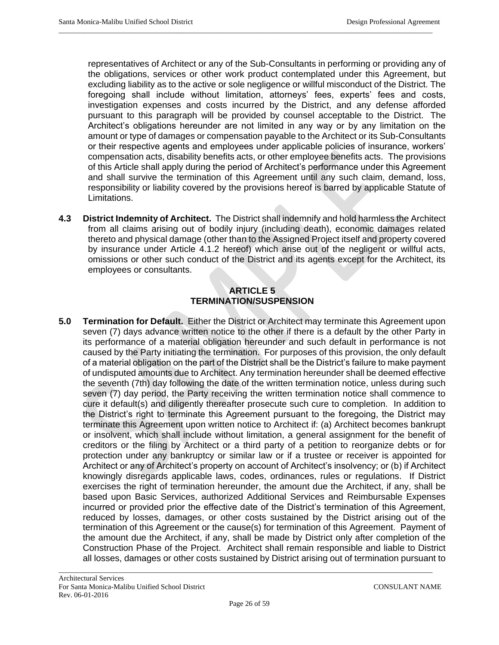representatives of Architect or any of the Sub-Consultants in performing or providing any of the obligations, services or other work product contemplated under this Agreement, but excluding liability as to the active or sole negligence or willful misconduct of the District. The foregoing shall include without limitation, attorneys' fees, experts' fees and costs, investigation expenses and costs incurred by the District, and any defense afforded pursuant to this paragraph will be provided by counsel acceptable to the District. The Architect's obligations hereunder are not limited in any way or by any limitation on the amount or type of damages or compensation payable to the Architect or its Sub-Consultants or their respective agents and employees under applicable policies of insurance, workers' compensation acts, disability benefits acts, or other employee benefits acts. The provisions of this Article shall apply during the period of Architect's performance under this Agreement and shall survive the termination of this Agreement until any such claim, demand, loss, responsibility or liability covered by the provisions hereof is barred by applicable Statute of Limitations.

 $\_$  ,  $\_$  ,  $\_$  ,  $\_$  ,  $\_$  ,  $\_$  ,  $\_$  ,  $\_$  ,  $\_$  ,  $\_$  ,  $\_$  ,  $\_$  ,  $\_$  ,  $\_$  ,  $\_$  ,  $\_$  ,  $\_$  ,  $\_$  ,  $\_$  ,  $\_$  ,  $\_$  ,  $\_$  ,  $\_$  ,  $\_$  ,  $\_$  ,  $\_$  ,  $\_$  ,  $\_$  ,  $\_$  ,  $\_$  ,  $\_$  ,  $\_$  ,  $\_$  ,  $\_$  ,  $\_$  ,  $\_$  ,  $\_$  ,

**4.3 District Indemnity of Architect.** The District shall indemnify and hold harmless the Architect from all claims arising out of bodily injury (including death), economic damages related thereto and physical damage (other than to the Assigned Project itself and property covered by insurance under Article 4.1.2 hereof) which arise out of the negligent or willful acts, omissions or other such conduct of the District and its agents except for the Architect, its employees or consultants.

### **ARTICLE 5 TERMINATION/SUSPENSION**

**5.0 Termination for Default.** Either the District or Architect may terminate this Agreement upon seven (7) days advance written notice to the other if there is a default by the other Party in its performance of a material obligation hereunder and such default in performance is not caused by the Party initiating the termination. For purposes of this provision, the only default of a material obligation on the part of the District shall be the District's failure to make payment of undisputed amounts due to Architect. Any termination hereunder shall be deemed effective the seventh (7th) day following the date of the written termination notice, unless during such seven (7) day period, the Party receiving the written termination notice shall commence to cure it default(s) and diligently thereafter prosecute such cure to completion. In addition to the District's right to terminate this Agreement pursuant to the foregoing, the District may terminate this Agreement upon written notice to Architect if: (a) Architect becomes bankrupt or insolvent, which shall include without limitation, a general assignment for the benefit of creditors or the filing by Architect or a third party of a petition to reorganize debts or for protection under any bankruptcy or similar law or if a trustee or receiver is appointed for Architect or any of Architect's property on account of Architect's insolvency; or (b) if Architect knowingly disregards applicable laws, codes, ordinances, rules or regulations. If District exercises the right of termination hereunder, the amount due the Architect, if any, shall be based upon Basic Services, authorized Additional Services and Reimbursable Expenses incurred or provided prior the effective date of the District's termination of this Agreement, reduced by losses, damages, or other costs sustained by the District arising out of the termination of this Agreement or the cause(s) for termination of this Agreement. Payment of the amount due the Architect, if any, shall be made by District only after completion of the Construction Phase of the Project. Architect shall remain responsible and liable to District all losses, damages or other costs sustained by District arising out of termination pursuant to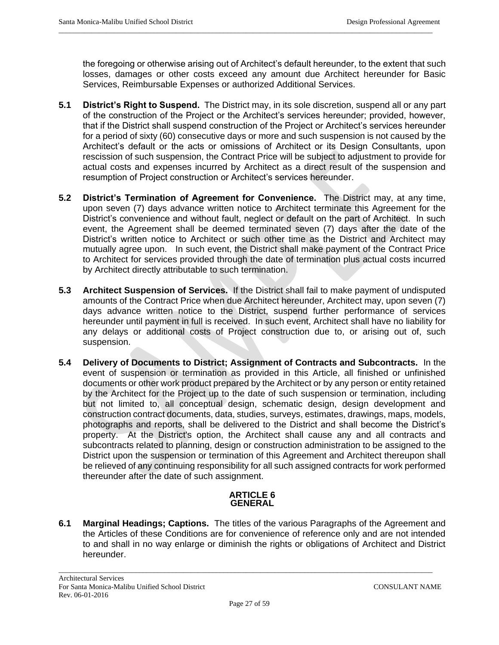the foregoing or otherwise arising out of Architect's default hereunder, to the extent that such losses, damages or other costs exceed any amount due Architect hereunder for Basic Services, Reimbursable Expenses or authorized Additional Services.

 $\_$  ,  $\_$  ,  $\_$  ,  $\_$  ,  $\_$  ,  $\_$  ,  $\_$  ,  $\_$  ,  $\_$  ,  $\_$  ,  $\_$  ,  $\_$  ,  $\_$  ,  $\_$  ,  $\_$  ,  $\_$  ,  $\_$  ,  $\_$  ,  $\_$  ,  $\_$  ,  $\_$  ,  $\_$  ,  $\_$  ,  $\_$  ,  $\_$  ,  $\_$  ,  $\_$  ,  $\_$  ,  $\_$  ,  $\_$  ,  $\_$  ,  $\_$  ,  $\_$  ,  $\_$  ,  $\_$  ,  $\_$  ,  $\_$  ,

- **5.1 District's Right to Suspend.** The District may, in its sole discretion, suspend all or any part of the construction of the Project or the Architect's services hereunder; provided, however, that if the District shall suspend construction of the Project or Architect's services hereunder for a period of sixty (60) consecutive days or more and such suspension is not caused by the Architect's default or the acts or omissions of Architect or its Design Consultants, upon rescission of such suspension, the Contract Price will be subject to adjustment to provide for actual costs and expenses incurred by Architect as a direct result of the suspension and resumption of Project construction or Architect's services hereunder.
- **5.2 District's Termination of Agreement for Convenience.** The District may, at any time, upon seven (7) days advance written notice to Architect terminate this Agreement for the District's convenience and without fault, neglect or default on the part of Architect. In such event, the Agreement shall be deemed terminated seven (7) days after the date of the District's written notice to Architect or such other time as the District and Architect may mutually agree upon. In such event, the District shall make payment of the Contract Price to Architect for services provided through the date of termination plus actual costs incurred by Architect directly attributable to such termination.
- **5.3 Architect Suspension of Services.** If the District shall fail to make payment of undisputed amounts of the Contract Price when due Architect hereunder, Architect may, upon seven (7) days advance written notice to the District, suspend further performance of services hereunder until payment in full is received. In such event, Architect shall have no liability for any delays or additional costs of Project construction due to, or arising out of, such suspension.
- **5.4 Delivery of Documents to District; Assignment of Contracts and Subcontracts.** In the event of suspension or termination as provided in this Article, all finished or unfinished documents or other work product prepared by the Architect or by any person or entity retained by the Architect for the Project up to the date of such suspension or termination, including but not limited to, all conceptual design, schematic design, design development and construction contract documents, data, studies, surveys, estimates, drawings, maps, models, photographs and reports, shall be delivered to the District and shall become the District's property. At the District's option, the Architect shall cause any and all contracts and subcontracts related to planning, design or construction administration to be assigned to the District upon the suspension or termination of this Agreement and Architect thereupon shall be relieved of any continuing responsibility for all such assigned contracts for work performed thereunder after the date of such assignment.

### **ARTICLE 6 GENERAL**

**6.1 Marginal Headings; Captions.** The titles of the various Paragraphs of the Agreement and the Articles of these Conditions are for convenience of reference only and are not intended to and shall in no way enlarge or diminish the rights or obligations of Architect and District hereunder.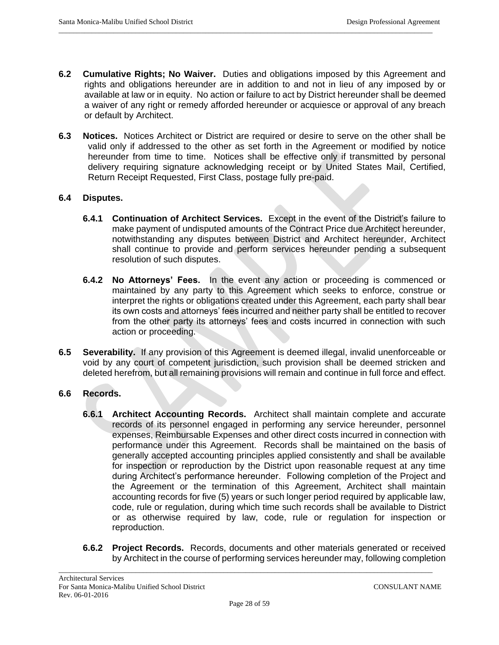**6.2 Cumulative Rights; No Waiver.** Duties and obligations imposed by this Agreement and rights and obligations hereunder are in addition to and not in lieu of any imposed by or available at law or in equity. No action or failure to act by District hereunder shall be deemed a waiver of any right or remedy afforded hereunder or acquiesce or approval of any breach or default by Architect.

 $\_$  ,  $\_$  ,  $\_$  ,  $\_$  ,  $\_$  ,  $\_$  ,  $\_$  ,  $\_$  ,  $\_$  ,  $\_$  ,  $\_$  ,  $\_$  ,  $\_$  ,  $\_$  ,  $\_$  ,  $\_$  ,  $\_$  ,  $\_$  ,  $\_$  ,  $\_$  ,  $\_$  ,  $\_$  ,  $\_$  ,  $\_$  ,  $\_$  ,  $\_$  ,  $\_$  ,  $\_$  ,  $\_$  ,  $\_$  ,  $\_$  ,  $\_$  ,  $\_$  ,  $\_$  ,  $\_$  ,  $\_$  ,  $\_$  ,

**6.3 Notices.** Notices Architect or District are required or desire to serve on the other shall be valid only if addressed to the other as set forth in the Agreement or modified by notice hereunder from time to time. Notices shall be effective only if transmitted by personal delivery requiring signature acknowledging receipt or by United States Mail, Certified, Return Receipt Requested, First Class, postage fully pre-paid.

### **6.4 Disputes.**

- **6.4.1 Continuation of Architect Services.** Except in the event of the District's failure to make payment of undisputed amounts of the Contract Price due Architect hereunder, notwithstanding any disputes between District and Architect hereunder, Architect shall continue to provide and perform services hereunder pending a subsequent resolution of such disputes.
- **6.4.2 No Attorneys' Fees.** In the event any action or proceeding is commenced or maintained by any party to this Agreement which seeks to enforce, construe or interpret the rights or obligations created under this Agreement, each party shall bear its own costs and attorneys' fees incurred and neither party shall be entitled to recover from the other party its attorneys' fees and costs incurred in connection with such action or proceeding.
- **6.5 Severability.** If any provision of this Agreement is deemed illegal, invalid unenforceable or void by any court of competent jurisdiction, such provision shall be deemed stricken and deleted herefrom, but all remaining provisions will remain and continue in full force and effect.

## **6.6 Records.**

- **6.6.1 Architect Accounting Records.** Architect shall maintain complete and accurate records of its personnel engaged in performing any service hereunder, personnel expenses, Reimbursable Expenses and other direct costs incurred in connection with performance under this Agreement. Records shall be maintained on the basis of generally accepted accounting principles applied consistently and shall be available for inspection or reproduction by the District upon reasonable request at any time during Architect's performance hereunder. Following completion of the Project and the Agreement or the termination of this Agreement, Architect shall maintain accounting records for five (5) years or such longer period required by applicable law, code, rule or regulation, during which time such records shall be available to District or as otherwise required by law, code, rule or regulation for inspection or reproduction.
- **6.6.2 Project Records.** Records, documents and other materials generated or received by Architect in the course of performing services hereunder may, following completion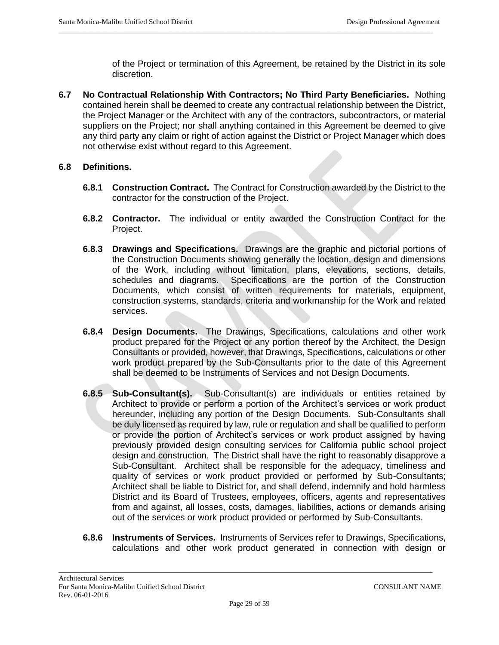of the Project or termination of this Agreement, be retained by the District in its sole discretion.

**6.7 No Contractual Relationship With Contractors; No Third Party Beneficiaries.** Nothing contained herein shall be deemed to create any contractual relationship between the District, the Project Manager or the Architect with any of the contractors, subcontractors, or material suppliers on the Project; nor shall anything contained in this Agreement be deemed to give any third party any claim or right of action against the District or Project Manager which does not otherwise exist without regard to this Agreement.

 $\_$  ,  $\_$  ,  $\_$  ,  $\_$  ,  $\_$  ,  $\_$  ,  $\_$  ,  $\_$  ,  $\_$  ,  $\_$  ,  $\_$  ,  $\_$  ,  $\_$  ,  $\_$  ,  $\_$  ,  $\_$  ,  $\_$  ,  $\_$  ,  $\_$  ,  $\_$  ,  $\_$  ,  $\_$  ,  $\_$  ,  $\_$  ,  $\_$  ,  $\_$  ,  $\_$  ,  $\_$  ,  $\_$  ,  $\_$  ,  $\_$  ,  $\_$  ,  $\_$  ,  $\_$  ,  $\_$  ,  $\_$  ,  $\_$  ,

### **6.8 Definitions.**

- **6.8.1 Construction Contract.** The Contract for Construction awarded by the District to the contractor for the construction of the Project.
- **6.8.2 Contractor.** The individual or entity awarded the Construction Contract for the Project.
- **6.8.3 Drawings and Specifications.** Drawings are the graphic and pictorial portions of the Construction Documents showing generally the location, design and dimensions of the Work, including without limitation, plans, elevations, sections, details, schedules and diagrams. Specifications are the portion of the Construction Documents, which consist of written requirements for materials, equipment, construction systems, standards, criteria and workmanship for the Work and related services.
- **6.8.4 Design Documents.** The Drawings, Specifications, calculations and other work product prepared for the Project or any portion thereof by the Architect, the Design Consultants or provided, however, that Drawings, Specifications, calculations or other work product prepared by the Sub-Consultants prior to the date of this Agreement shall be deemed to be Instruments of Services and not Design Documents.
- **6.8.5 Sub-Consultant(s).** Sub-Consultant(s) are individuals or entities retained by Architect to provide or perform a portion of the Architect's services or work product hereunder, including any portion of the Design Documents. Sub-Consultants shall be duly licensed as required by law, rule or regulation and shall be qualified to perform or provide the portion of Architect's services or work product assigned by having previously provided design consulting services for California public school project design and construction. The District shall have the right to reasonably disapprove a Sub-Consultant. Architect shall be responsible for the adequacy, timeliness and quality of services or work product provided or performed by Sub-Consultants; Architect shall be liable to District for, and shall defend, indemnify and hold harmless District and its Board of Trustees, employees, officers, agents and representatives from and against, all losses, costs, damages, liabilities, actions or demands arising out of the services or work product provided or performed by Sub-Consultants.
- **6.8.6 Instruments of Services.** Instruments of Services refer to Drawings, Specifications, calculations and other work product generated in connection with design or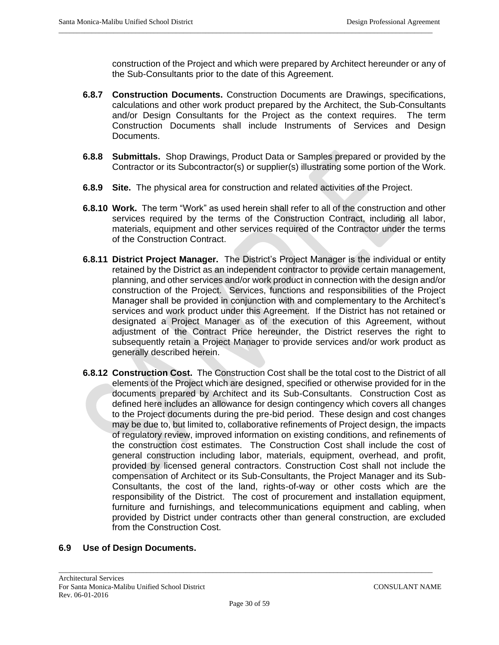construction of the Project and which were prepared by Architect hereunder or any of the Sub-Consultants prior to the date of this Agreement.

- **6.8.7 Construction Documents.** Construction Documents are Drawings, specifications, calculations and other work product prepared by the Architect, the Sub-Consultants and/or Design Consultants for the Project as the context requires. The term Construction Documents shall include Instruments of Services and Design Documents.
- **6.8.8 Submittals.** Shop Drawings, Product Data or Samples prepared or provided by the Contractor or its Subcontractor(s) or supplier(s) illustrating some portion of the Work.
- **6.8.9 Site.** The physical area for construction and related activities of the Project.

 $\_$  ,  $\_$  ,  $\_$  ,  $\_$  ,  $\_$  ,  $\_$  ,  $\_$  ,  $\_$  ,  $\_$  ,  $\_$  ,  $\_$  ,  $\_$  ,  $\_$  ,  $\_$  ,  $\_$  ,  $\_$  ,  $\_$  ,  $\_$  ,  $\_$  ,  $\_$  ,  $\_$  ,  $\_$  ,  $\_$  ,  $\_$  ,  $\_$  ,  $\_$  ,  $\_$  ,  $\_$  ,  $\_$  ,  $\_$  ,  $\_$  ,  $\_$  ,  $\_$  ,  $\_$  ,  $\_$  ,  $\_$  ,  $\_$  ,

- **6.8.10 Work.** The term "Work" as used herein shall refer to all of the construction and other services required by the terms of the Construction Contract, including all labor, materials, equipment and other services required of the Contractor under the terms of the Construction Contract.
- **6.8.11 District Project Manager.** The District's Project Manager is the individual or entity retained by the District as an independent contractor to provide certain management, planning, and other services and/or work product in connection with the design and/or construction of the Project. Services, functions and responsibilities of the Project Manager shall be provided in conjunction with and complementary to the Architect's services and work product under this Agreement. If the District has not retained or designated a Project Manager as of the execution of this Agreement, without adjustment of the Contract Price hereunder, the District reserves the right to subsequently retain a Project Manager to provide services and/or work product as generally described herein.
- **6.8.12 Construction Cost.** The Construction Cost shall be the total cost to the District of all elements of the Project which are designed, specified or otherwise provided for in the documents prepared by Architect and its Sub-Consultants. Construction Cost as defined here includes an allowance for design contingency which covers all changes to the Project documents during the pre-bid period. These design and cost changes may be due to, but limited to, collaborative refinements of Project design, the impacts of regulatory review, improved information on existing conditions, and refinements of the construction cost estimates. The Construction Cost shall include the cost of general construction including labor, materials, equipment, overhead, and profit, provided by licensed general contractors. Construction Cost shall not include the compensation of Architect or its Sub-Consultants, the Project Manager and its Sub-Consultants, the cost of the land, rights-of-way or other costs which are the responsibility of the District. The cost of procurement and installation equipment, furniture and furnishings, and telecommunications equipment and cabling, when provided by District under contracts other than general construction, are excluded from the Construction Cost.

## **6.9 Use of Design Documents.**